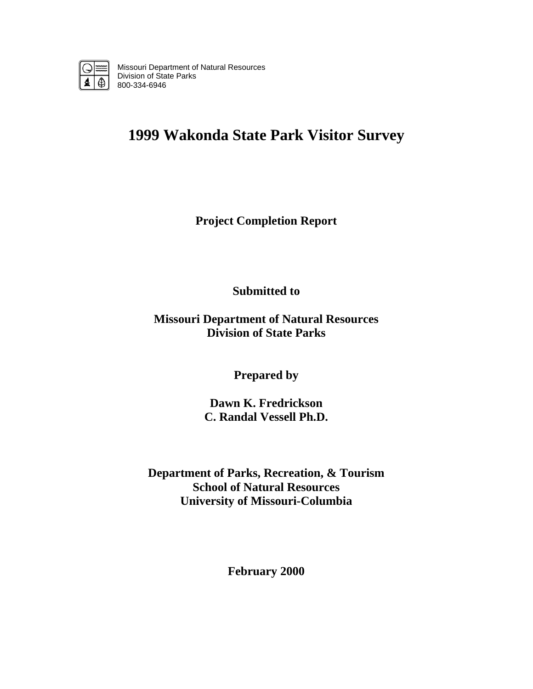

Missouri Department of Natural Resources Division of State Parks 800-334-6946

# **1999 Wakonda State Park Visitor Survey**

**Project Completion Report** 

**Submitted to** 

**Missouri Department of Natural Resources Division of State Parks** 

**Prepared by** 

**Dawn K. Fredrickson C. Randal Vessell Ph.D.** 

**Department of Parks, Recreation, & Tourism School of Natural Resources University of Missouri-Columbia** 

**February 2000**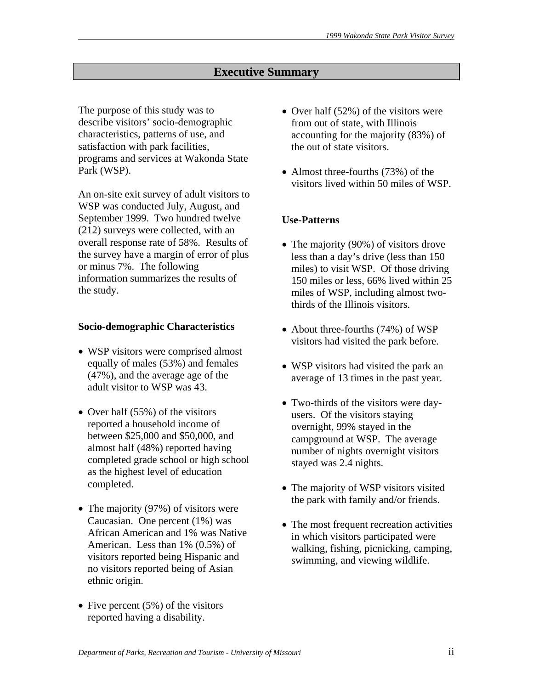# **Executive Summary**

The purpose of this study was to describe visitors' socio-demographic characteristics, patterns of use, and satisfaction with park facilities, programs and services at Wakonda State Park (WSP).

An on-site exit survey of adult visitors to WSP was conducted July, August, and September 1999. Two hundred twelve (212) surveys were collected, with an overall response rate of 58%. Results of the survey have a margin of error of plus or minus 7%. The following information summarizes the results of the study.

#### **Socio-demographic Characteristics**

- WSP visitors were comprised almost equally of males (53%) and females (47%), and the average age of the adult visitor to WSP was 43.
- Over half (55%) of the visitors reported a household income of between \$25,000 and \$50,000, and almost half (48%) reported having completed grade school or high school as the highest level of education completed.
- The majority (97%) of visitors were Caucasian. One percent (1%) was African American and 1% was Native American. Less than 1% (0.5%) of visitors reported being Hispanic and no visitors reported being of Asian ethnic origin.
- Five percent  $(5\%)$  of the visitors reported having a disability.
- Over half (52%) of the visitors were from out of state, with Illinois accounting for the majority (83%) of the out of state visitors.
- Almost three-fourths (73%) of the visitors lived within 50 miles of WSP.

### **Use-Patterns**

- The majority (90%) of visitors drove less than a day's drive (less than 150 miles) to visit WSP. Of those driving 150 miles or less, 66% lived within 25 miles of WSP, including almost twothirds of the Illinois visitors.
- About three-fourths (74%) of WSP visitors had visited the park before.
- WSP visitors had visited the park an average of 13 times in the past year.
- Two-thirds of the visitors were dayusers. Of the visitors staying overnight, 99% stayed in the campground at WSP. The average number of nights overnight visitors stayed was 2.4 nights.
- The majority of WSP visitors visited the park with family and/or friends.
- The most frequent recreation activities in which visitors participated were walking, fishing, picnicking, camping, swimming, and viewing wildlife.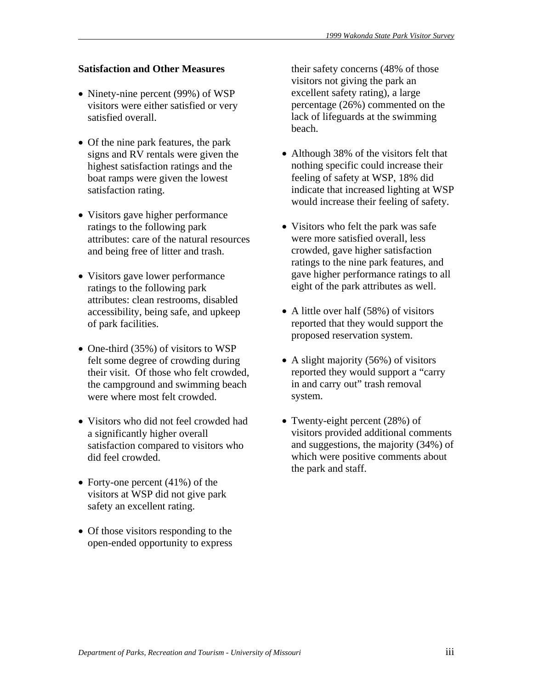# **Satisfaction and Other Measures**

- Ninety-nine percent (99%) of WSP visitors were either satisfied or very satisfied overall.
- Of the nine park features, the park signs and RV rentals were given the highest satisfaction ratings and the boat ramps were given the lowest satisfaction rating.
- Visitors gave higher performance ratings to the following park attributes: care of the natural resources and being free of litter and trash.
- Visitors gave lower performance ratings to the following park attributes: clean restrooms, disabled accessibility, being safe, and upkeep of park facilities.
- One-third (35%) of visitors to WSP felt some degree of crowding during their visit. Of those who felt crowded, the campground and swimming beach were where most felt crowded.
- Visitors who did not feel crowded had a significantly higher overall satisfaction compared to visitors who did feel crowded.
- Forty-one percent (41%) of the visitors at WSP did not give park safety an excellent rating.
- Of those visitors responding to the open-ended opportunity to express

their safety concerns (48% of those visitors not giving the park an excellent safety rating), a large percentage (26%) commented on the lack of lifeguards at the swimming beach.

- Although 38% of the visitors felt that nothing specific could increase their feeling of safety at WSP, 18% did indicate that increased lighting at WSP would increase their feeling of safety.
- Visitors who felt the park was safe were more satisfied overall, less crowded, gave higher satisfaction ratings to the nine park features, and gave higher performance ratings to all eight of the park attributes as well.
- A little over half (58%) of visitors reported that they would support the proposed reservation system.
- A slight majority (56%) of visitors reported they would support a "carry in and carry out" trash removal system.
- Twenty-eight percent (28%) of visitors provided additional comments and suggestions, the majority (34%) of which were positive comments about the park and staff.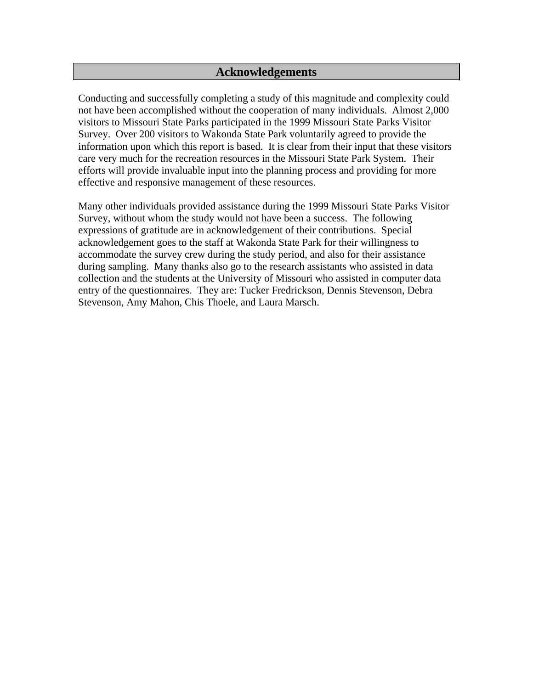# **Acknowledgements**

Conducting and successfully completing a study of this magnitude and complexity could not have been accomplished without the cooperation of many individuals. Almost 2,000 visitors to Missouri State Parks participated in the 1999 Missouri State Parks Visitor Survey. Over 200 visitors to Wakonda State Park voluntarily agreed to provide the information upon which this report is based. It is clear from their input that these visitors care very much for the recreation resources in the Missouri State Park System. Their efforts will provide invaluable input into the planning process and providing for more effective and responsive management of these resources.

Many other individuals provided assistance during the 1999 Missouri State Parks Visitor Survey, without whom the study would not have been a success. The following expressions of gratitude are in acknowledgement of their contributions. Special acknowledgement goes to the staff at Wakonda State Park for their willingness to accommodate the survey crew during the study period, and also for their assistance during sampling. Many thanks also go to the research assistants who assisted in data collection and the students at the University of Missouri who assisted in computer data entry of the questionnaires. They are: Tucker Fredrickson, Dennis Stevenson, Debra Stevenson, Amy Mahon, Chis Thoele, and Laura Marsch.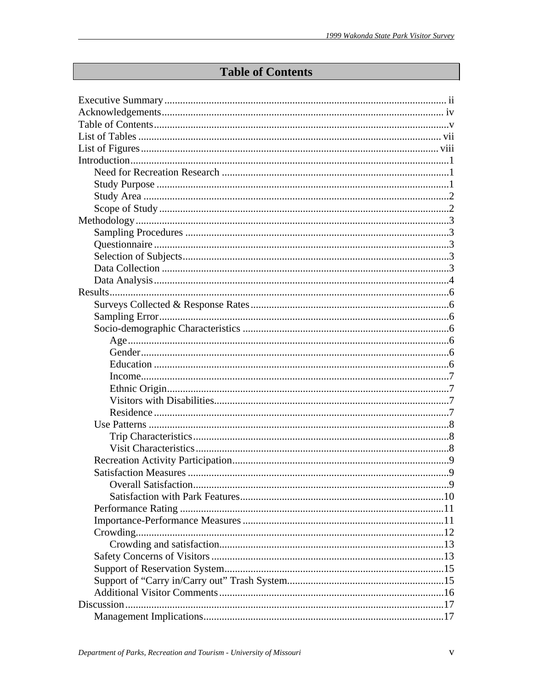# **Table of Contents**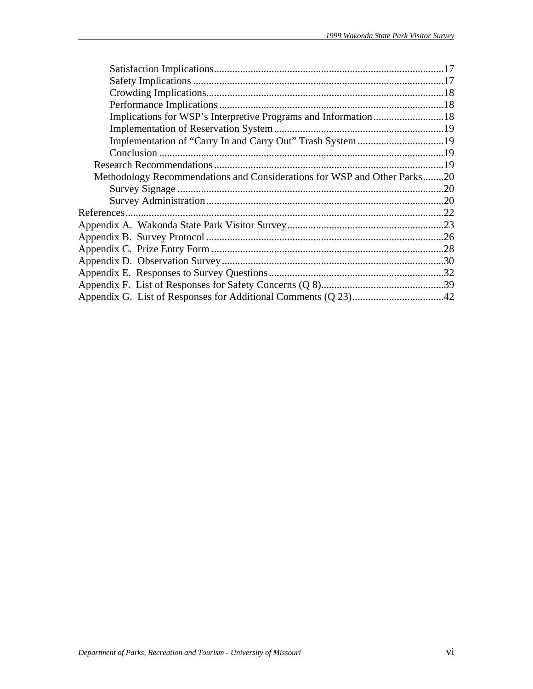| Methodology Recommendations and Considerations for WSP and Other Parks20 |  |
|--------------------------------------------------------------------------|--|
|                                                                          |  |
|                                                                          |  |
|                                                                          |  |
|                                                                          |  |
|                                                                          |  |
|                                                                          |  |
|                                                                          |  |
|                                                                          |  |
|                                                                          |  |
|                                                                          |  |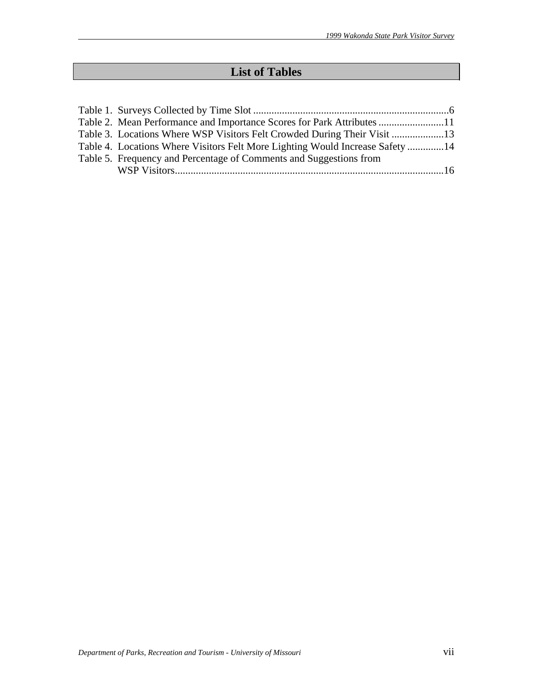# **List of Tables**

| Table 2. Mean Performance and Importance Scores for Park Attributes 11        |  |
|-------------------------------------------------------------------------------|--|
| Table 3. Locations Where WSP Visitors Felt Crowded During Their Visit         |  |
| Table 4. Locations Where Visitors Felt More Lighting Would Increase Safety 14 |  |
| Table 5. Frequency and Percentage of Comments and Suggestions from            |  |
|                                                                               |  |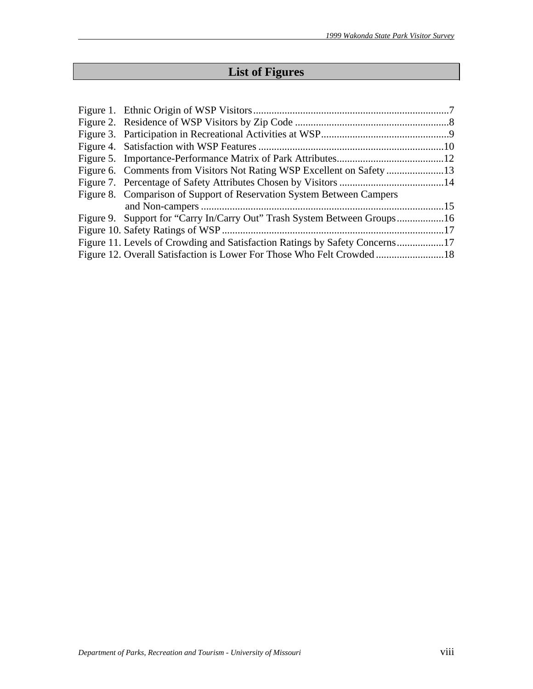# **List of Figures**

| Figure 8. Comparison of Support of Reservation System Between Campers       |  |
|-----------------------------------------------------------------------------|--|
|                                                                             |  |
|                                                                             |  |
|                                                                             |  |
| Figure 11. Levels of Crowding and Satisfaction Ratings by Safety Concerns17 |  |
| Figure 12. Overall Satisfaction is Lower For Those Who Felt Crowded18       |  |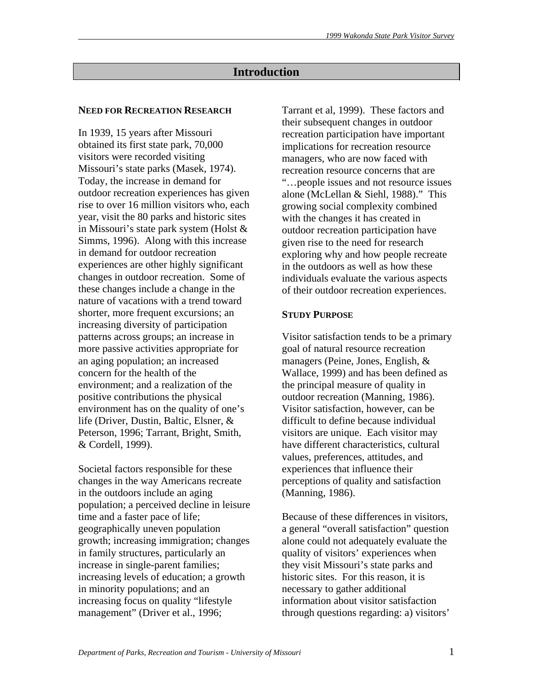# **Introduction**

### **NEED FOR RECREATION RESEARCH**

In 1939, 15 years after Missouri obtained its first state park, 70,000 visitors were recorded visiting Missouri's state parks (Masek, 1974). Today, the increase in demand for outdoor recreation experiences has given rise to over 16 million visitors who, each year, visit the 80 parks and historic sites in Missouri's state park system (Holst & Simms, 1996). Along with this increase in demand for outdoor recreation experiences are other highly significant changes in outdoor recreation. Some of these changes include a change in the nature of vacations with a trend toward shorter, more frequent excursions; an increasing diversity of participation patterns across groups; an increase in more passive activities appropriate for an aging population; an increased concern for the health of the environment; and a realization of the positive contributions the physical environment has on the quality of one's life (Driver, Dustin, Baltic, Elsner, & Peterson, 1996; Tarrant, Bright, Smith, & Cordell, 1999).

Societal factors responsible for these changes in the way Americans recreate in the outdoors include an aging population; a perceived decline in leisure time and a faster pace of life; geographically uneven population growth; increasing immigration; changes in family structures, particularly an increase in single-parent families; increasing levels of education; a growth in minority populations; and an increasing focus on quality "lifestyle management" (Driver et al., 1996;

Tarrant et al, 1999). These factors and their subsequent changes in outdoor recreation participation have important implications for recreation resource managers, who are now faced with recreation resource concerns that are "…people issues and not resource issues alone (McLellan & Siehl, 1988)." This growing social complexity combined with the changes it has created in outdoor recreation participation have given rise to the need for research exploring why and how people recreate in the outdoors as well as how these individuals evaluate the various aspects of their outdoor recreation experiences.

#### **STUDY PURPOSE**

Visitor satisfaction tends to be a primary goal of natural resource recreation managers (Peine, Jones, English, & Wallace, 1999) and has been defined as the principal measure of quality in outdoor recreation (Manning, 1986). Visitor satisfaction, however, can be difficult to define because individual visitors are unique. Each visitor may have different characteristics, cultural values, preferences, attitudes, and experiences that influence their perceptions of quality and satisfaction (Manning, 1986).

Because of these differences in visitors, a general "overall satisfaction" question alone could not adequately evaluate the quality of visitors' experiences when they visit Missouri's state parks and historic sites. For this reason, it is necessary to gather additional information about visitor satisfaction through questions regarding: a) visitors'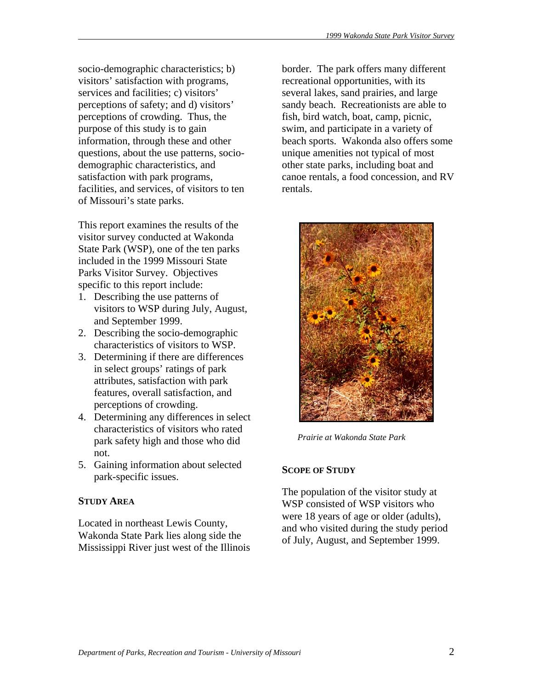socio-demographic characteristics; b) visitors' satisfaction with programs, services and facilities; c) visitors' perceptions of safety; and d) visitors' perceptions of crowding. Thus, the purpose of this study is to gain information, through these and other questions, about the use patterns, sociodemographic characteristics, and satisfaction with park programs, facilities, and services, of visitors to ten of Missouri's state parks.

This report examines the results of the visitor survey conducted at Wakonda State Park (WSP), one of the ten parks included in the 1999 Missouri State Parks Visitor Survey. Objectives specific to this report include:

- 1. Describing the use patterns of visitors to WSP during July, August, and September 1999.
- 2. Describing the socio-demographic characteristics of visitors to WSP.
- 3. Determining if there are differences in select groups' ratings of park attributes, satisfaction with park features, overall satisfaction, and perceptions of crowding.
- 4. Determining any differences in select characteristics of visitors who rated park safety high and those who did not.
- 5. Gaining information about selected park-specific issues.

# **STUDY AREA**

Located in northeast Lewis County, Wakonda State Park lies along side the Mississippi River just west of the Illinois border. The park offers many different recreational opportunities, with its several lakes, sand prairies, and large sandy beach. Recreationists are able to fish, bird watch, boat, camp, picnic, swim, and participate in a variety of beach sports. Wakonda also offers some unique amenities not typical of most other state parks, including boat and canoe rentals, a food concession, and RV rentals.



*Prairie at Wakonda State Park* 

# **SCOPE OF STUDY**

The population of the visitor study at WSP consisted of WSP visitors who were 18 years of age or older (adults), and who visited during the study period of July, August, and September 1999.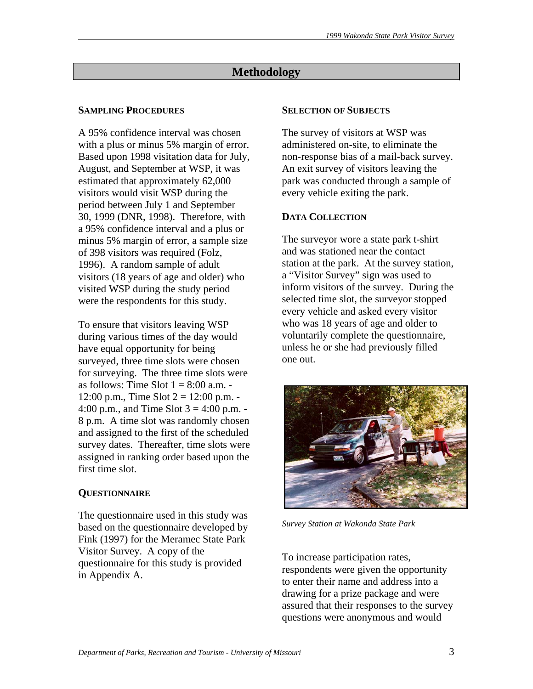# **Methodology**

# **SAMPLING PROCEDURES**

A 95% confidence interval was chosen with a plus or minus 5% margin of error. Based upon 1998 visitation data for July, August, and September at WSP, it was estimated that approximately 62,000 visitors would visit WSP during the period between July 1 and September 30, 1999 (DNR, 1998). Therefore, with a 95% confidence interval and a plus or minus 5% margin of error, a sample size of 398 visitors was required (Folz, 1996). A random sample of adult visitors (18 years of age and older) who visited WSP during the study period were the respondents for this study.

To ensure that visitors leaving WSP during various times of the day would have equal opportunity for being surveyed, three time slots were chosen for surveying. The three time slots were as follows: Time Slot  $1 = 8:00$  a.m. -12:00 p.m., Time Slot  $2 = 12:00$  p.m. -4:00 p.m., and Time Slot  $3 = 4:00$  p.m. -8 p.m. A time slot was randomly chosen and assigned to the first of the scheduled survey dates. Thereafter, time slots were assigned in ranking order based upon the first time slot.

# **QUESTIONNAIRE**

The questionnaire used in this study was based on the questionnaire developed by Fink (1997) for the Meramec State Park Visitor Survey. A copy of the questionnaire for this study is provided in Appendix A.

### **SELECTION OF SUBJECTS**

The survey of visitors at WSP was administered on-site, to eliminate the non-response bias of a mail-back survey. An exit survey of visitors leaving the park was conducted through a sample of every vehicle exiting the park.

# **DATA COLLECTION**

The surveyor wore a state park t-shirt and was stationed near the contact station at the park. At the survey station, a "Visitor Survey" sign was used to inform visitors of the survey. During the selected time slot, the surveyor stopped every vehicle and asked every visitor who was 18 years of age and older to voluntarily complete the questionnaire, unless he or she had previously filled one out.



*Survey Station at Wakonda State Park* 

To increase participation rates, respondents were given the opportunity to enter their name and address into a drawing for a prize package and were assured that their responses to the survey questions were anonymous and would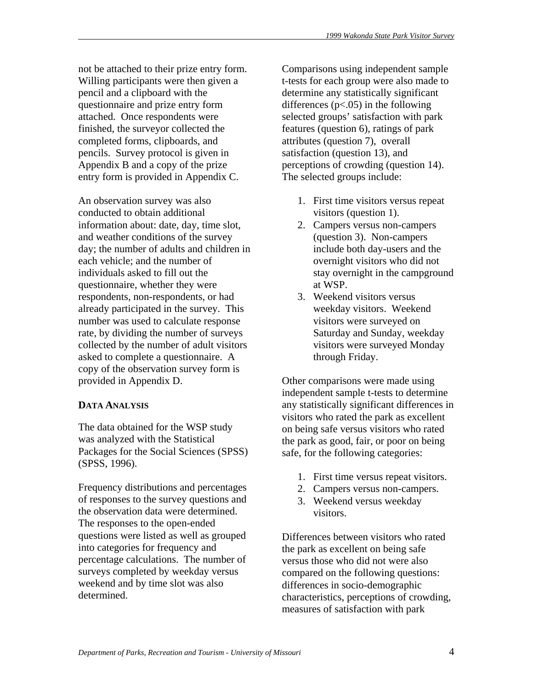not be attached to their prize entry form. Willing participants were then given a pencil and a clipboard with the questionnaire and prize entry form attached. Once respondents were finished, the surveyor collected the completed forms, clipboards, and pencils. Survey protocol is given in Appendix B and a copy of the prize entry form is provided in Appendix C.

An observation survey was also conducted to obtain additional information about: date, day, time slot, and weather conditions of the survey day; the number of adults and children in each vehicle; and the number of individuals asked to fill out the questionnaire, whether they were respondents, non-respondents, or had already participated in the survey. This number was used to calculate response rate, by dividing the number of surveys collected by the number of adult visitors asked to complete a questionnaire. A copy of the observation survey form is provided in Appendix D.

# **DATA ANALYSIS**

The data obtained for the WSP study was analyzed with the Statistical Packages for the Social Sciences (SPSS) (SPSS, 1996).

Frequency distributions and percentages of responses to the survey questions and the observation data were determined. The responses to the open-ended questions were listed as well as grouped into categories for frequency and percentage calculations. The number of surveys completed by weekday versus weekend and by time slot was also determined.

Comparisons using independent sample t-tests for each group were also made to determine any statistically significant differences  $(p<.05)$  in the following selected groups' satisfaction with park features (question 6), ratings of park attributes (question 7), overall satisfaction (question 13), and perceptions of crowding (question 14). The selected groups include:

- 1. First time visitors versus repeat visitors (question 1).
- 2. Campers versus non-campers (question 3). Non-campers include both day-users and the overnight visitors who did not stay overnight in the campground at WSP.
- 3. Weekend visitors versus weekday visitors. Weekend visitors were surveyed on Saturday and Sunday, weekday visitors were surveyed Monday through Friday.

Other comparisons were made using independent sample t-tests to determine any statistically significant differences in visitors who rated the park as excellent on being safe versus visitors who rated the park as good, fair, or poor on being safe, for the following categories:

- 1. First time versus repeat visitors.
- 2. Campers versus non-campers.
- 3. Weekend versus weekday visitors.

Differences between visitors who rated the park as excellent on being safe versus those who did not were also compared on the following questions: differences in socio-demographic characteristics, perceptions of crowding, measures of satisfaction with park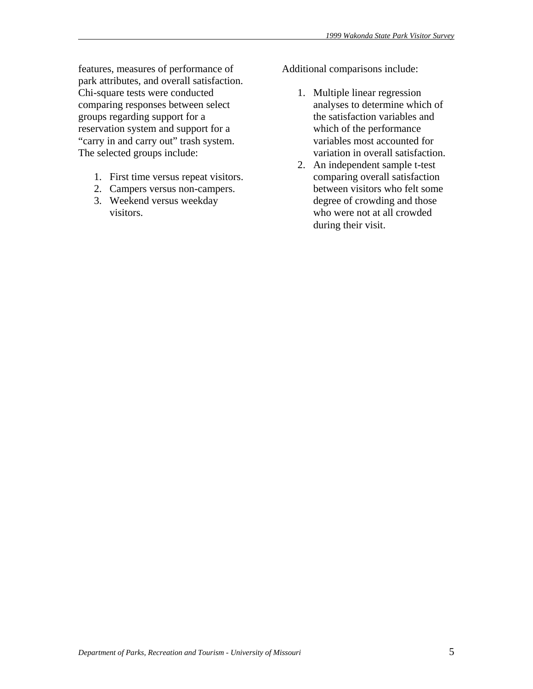features, measures of performance of park attributes, and overall satisfaction. Chi-square tests were conducted comparing responses between select groups regarding support for a reservation system and support for a "carry in and carry out" trash system. The selected groups include:

- 1. First time versus repeat visitors.
- 2. Campers versus non-campers.
- 3. Weekend versus weekday visitors.

Additional comparisons include:

- 1. Multiple linear regression analyses to determine which of the satisfaction variables and which of the performance variables most accounted for variation in overall satisfaction.
- 2. An independent sample t-test comparing overall satisfaction between visitors who felt some degree of crowding and those who were not at all crowded during their visit.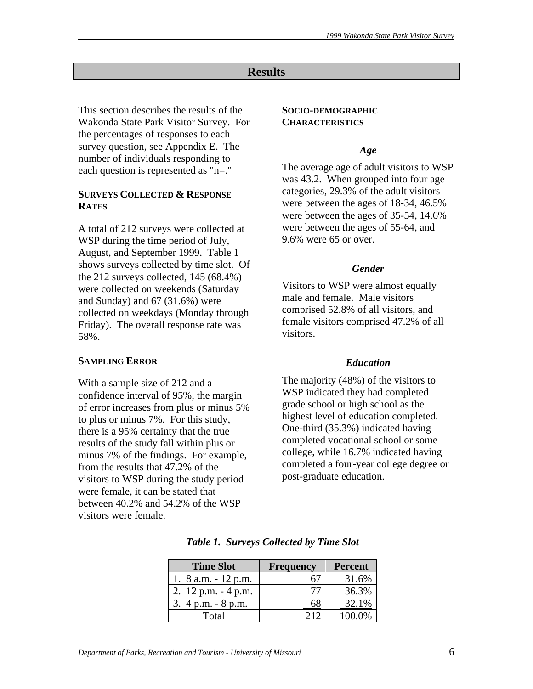### **Results**

This section describes the results of the Wakonda State Park Visitor Survey. For the percentages of responses to each survey question, see Appendix E. The number of individuals responding to each question is represented as "n=."

#### **SURVEYS COLLECTED & RESPONSE RATES**

A total of 212 surveys were collected at WSP during the time period of July, August, and September 1999. Table 1 shows surveys collected by time slot. Of the 212 surveys collected, 145 (68.4%) were collected on weekends (Saturday and Sunday) and 67 (31.6%) were collected on weekdays (Monday through Friday). The overall response rate was 58%.

#### **SAMPLING ERROR**

With a sample size of 212 and a confidence interval of 95%, the margin of error increases from plus or minus 5% to plus or minus 7%. For this study, there is a 95% certainty that the true results of the study fall within plus or minus 7% of the findings. For example, from the results that 47.2% of the visitors to WSP during the study period were female, it can be stated that between 40.2% and 54.2% of the WSP visitors were female.

#### **SOCIO-DEMOGRAPHIC CHARACTERISTICS**

#### *Age*

The average age of adult visitors to WSP was 43.2. When grouped into four age categories, 29.3% of the adult visitors were between the ages of 18-34, 46.5% were between the ages of 35-54, 14.6% were between the ages of 55-64, and 9.6% were 65 or over.

#### *Gender*

Visitors to WSP were almost equally male and female. Male visitors comprised 52.8% of all visitors, and female visitors comprised 47.2% of all visitors.

#### *Education*

The majority (48%) of the visitors to WSP indicated they had completed grade school or high school as the highest level of education completed. One-third (35.3%) indicated having completed vocational school or some college, while 16.7% indicated having completed a four-year college degree or post-graduate education.

| <b>Time Slot</b>       | <b>Frequency</b> | <b>Percent</b> |
|------------------------|------------------|----------------|
| 1. 8 a.m. $-12$ p.m.   |                  | 31.6%          |
| 2. $12$ p.m. $-4$ p.m. |                  | 36.3%          |
| 3. $4 p.m. - 8 p.m.$   |                  | 32.1%          |
| Total                  |                  | 100 0%         |

*Table 1. Surveys Collected by Time Slot*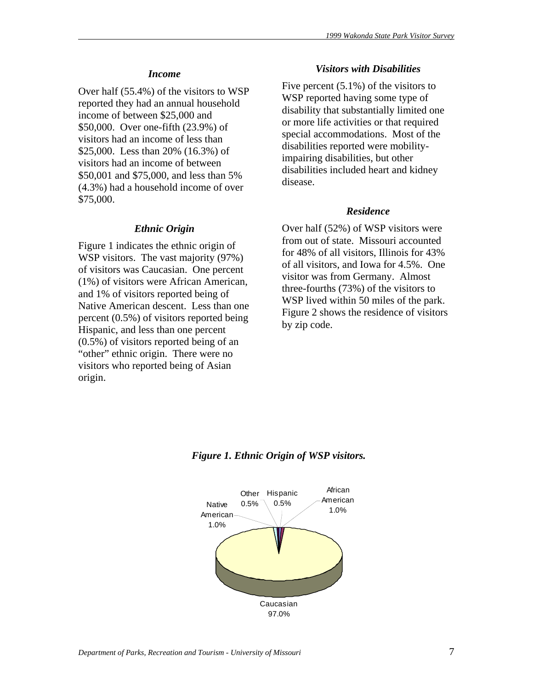#### *Income*

Over half (55.4%) of the visitors to WSP reported they had an annual household income of between \$25,000 and \$50,000. Over one-fifth (23.9%) of visitors had an income of less than \$25,000. Less than 20% (16.3%) of visitors had an income of between \$50,001 and \$75,000, and less than 5% (4.3%) had a household income of over \$75,000.

#### *Ethnic Origin*

Figure 1 indicates the ethnic origin of WSP visitors. The vast majority (97%) of visitors was Caucasian. One percent (1%) of visitors were African American, and 1% of visitors reported being of Native American descent. Less than one percent (0.5%) of visitors reported being Hispanic, and less than one percent (0.5%) of visitors reported being of an "other" ethnic origin. There were no visitors who reported being of Asian origin.

### *Visitors with Disabilities*

Five percent (5.1%) of the visitors to WSP reported having some type of disability that substantially limited one or more life activities or that required special accommodations. Most of the disabilities reported were mobilityimpairing disabilities, but other disabilities included heart and kidney disease.

#### *Residence*

Over half (52%) of WSP visitors were from out of state. Missouri accounted for 48% of all visitors, Illinois for 43% of all visitors, and Iowa for 4.5%. One visitor was from Germany. Almost three-fourths (73%) of the visitors to WSP lived within 50 miles of the park. Figure 2 shows the residence of visitors by zip code.



# *Figure 1. Ethnic Origin of WSP visitors.*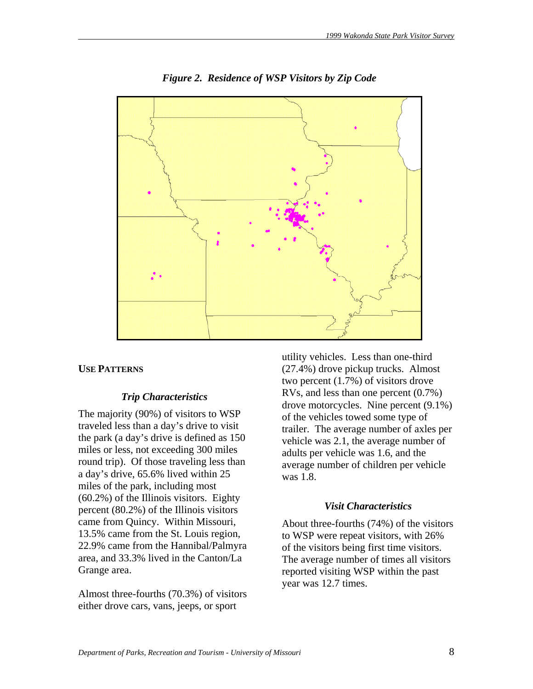

*Figure 2. Residence of WSP Visitors by Zip Code* 

### **USE PATTERNS**

### *Trip Characteristics*

The majority (90%) of visitors to WSP traveled less than a day's drive to visit the park (a day's drive is defined as 150 miles or less, not exceeding 300 miles round trip). Of those traveling less than a day's drive, 65.6% lived within 25 miles of the park, including most (60.2%) of the Illinois visitors. Eighty percent (80.2%) of the Illinois visitors came from Quincy. Within Missouri, 13.5% came from the St. Louis region, 22.9% came from the Hannibal/Palmyra area, and 33.3% lived in the Canton/La Grange area.

Almost three-fourths (70.3%) of visitors either drove cars, vans, jeeps, or sport

utility vehicles. Less than one-third (27.4%) drove pickup trucks. Almost two percent (1.7%) of visitors drove RVs, and less than one percent (0.7%) drove motorcycles. Nine percent (9.1%) of the vehicles towed some type of trailer. The average number of axles per vehicle was 2.1, the average number of adults per vehicle was 1.6, and the average number of children per vehicle was 1.8.

### *Visit Characteristics*

About three-fourths (74%) of the visitors to WSP were repeat visitors, with 26% of the visitors being first time visitors. The average number of times all visitors reported visiting WSP within the past year was 12.7 times.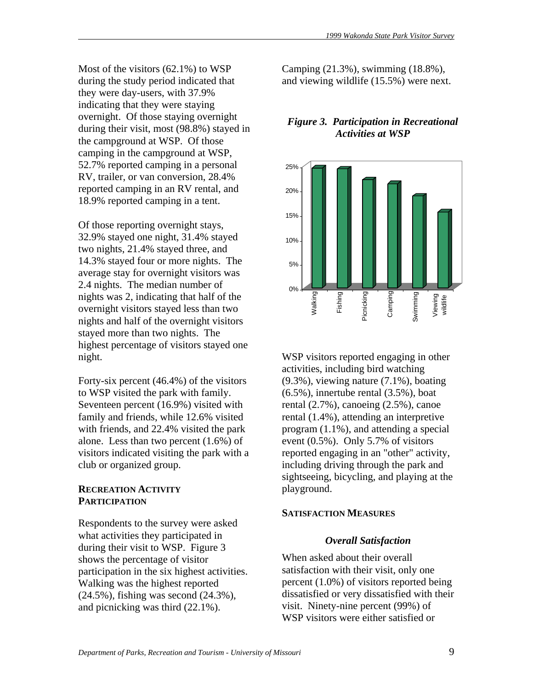Most of the visitors (62.1%) to WSP during the study period indicated that they were day-users, with 37.9% indicating that they were staying overnight. Of those staying overnight during their visit, most (98.8%) stayed in the campground at WSP. Of those camping in the campground at WSP, 52.7% reported camping in a personal RV, trailer, or van conversion, 28.4% reported camping in an RV rental, and 18.9% reported camping in a tent.

Of those reporting overnight stays, 32.9% stayed one night, 31.4% stayed two nights, 21.4% stayed three, and 14.3% stayed four or more nights. The average stay for overnight visitors was 2.4 nights. The median number of nights was 2, indicating that half of the overnight visitors stayed less than two nights and half of the overnight visitors stayed more than two nights. The highest percentage of visitors stayed one night.

Forty-six percent (46.4%) of the visitors to WSP visited the park with family. Seventeen percent (16.9%) visited with family and friends, while 12.6% visited with friends, and 22.4% visited the park alone. Less than two percent (1.6%) of visitors indicated visiting the park with a club or organized group.

### **RECREATION ACTIVITY PARTICIPATION**

Respondents to the survey were asked what activities they participated in during their visit to WSP. Figure 3 shows the percentage of visitor participation in the six highest activities. Walking was the highest reported (24.5%), fishing was second (24.3%), and picnicking was third (22.1%).

Camping (21.3%), swimming (18.8%), and viewing wildlife (15.5%) were next.

# *Figure 3. Participation in Recreational Activities at WSP*



WSP visitors reported engaging in other activities, including bird watching (9.3%), viewing nature (7.1%), boating  $(6.5\%)$ , innertube rental  $(3.5\%)$ , boat rental (2.7%), canoeing (2.5%), canoe rental (1.4%), attending an interpretive program (1.1%), and attending a special event (0.5%). Only 5.7% of visitors reported engaging in an "other" activity, including driving through the park and sightseeing, bicycling, and playing at the playground.

### **SATISFACTION MEASURES**

# *Overall Satisfaction*

When asked about their overall satisfaction with their visit, only one percent (1.0%) of visitors reported being dissatisfied or very dissatisfied with their visit. Ninety-nine percent (99%) of WSP visitors were either satisfied or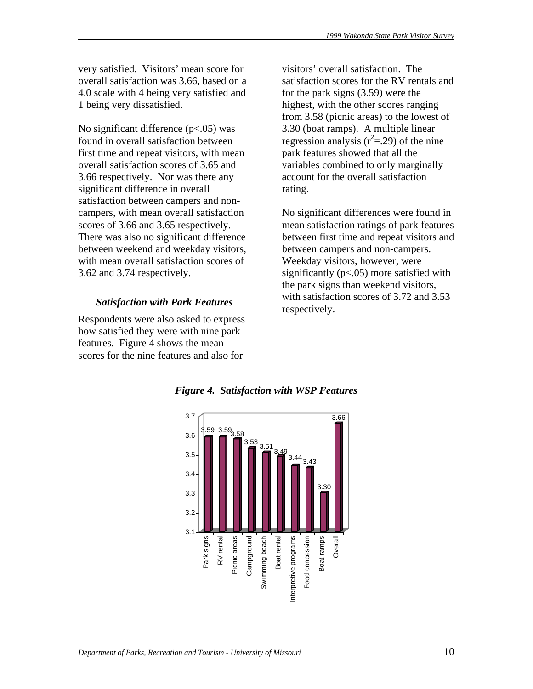very satisfied. Visitors' mean score for overall satisfaction was 3.66, based on a 4.0 scale with 4 being very satisfied and 1 being very dissatisfied.

No significant difference  $(p<.05)$  was found in overall satisfaction between first time and repeat visitors, with mean overall satisfaction scores of 3.65 and 3.66 respectively. Nor was there any significant difference in overall satisfaction between campers and noncampers, with mean overall satisfaction scores of 3.66 and 3.65 respectively. There was also no significant difference between weekend and weekday visitors, with mean overall satisfaction scores of 3.62 and 3.74 respectively.

# *Satisfaction with Park Features*

Respondents were also asked to express how satisfied they were with nine park features. Figure 4 shows the mean scores for the nine features and also for

visitors' overall satisfaction. The satisfaction scores for the RV rentals and for the park signs (3.59) were the highest, with the other scores ranging from 3.58 (picnic areas) to the lowest of 3.30 (boat ramps). A multiple linear regression analysis  $(r^2 = .29)$  of the nine park features showed that all the variables combined to only marginally account for the overall satisfaction rating.

No significant differences were found in mean satisfaction ratings of park features between first time and repeat visitors and between campers and non-campers. Weekday visitors, however, were significantly  $(p<.05)$  more satisfied with the park signs than weekend visitors, with satisfaction scores of 3.72 and 3.53 respectively.



*Figure 4. Satisfaction with WSP Features*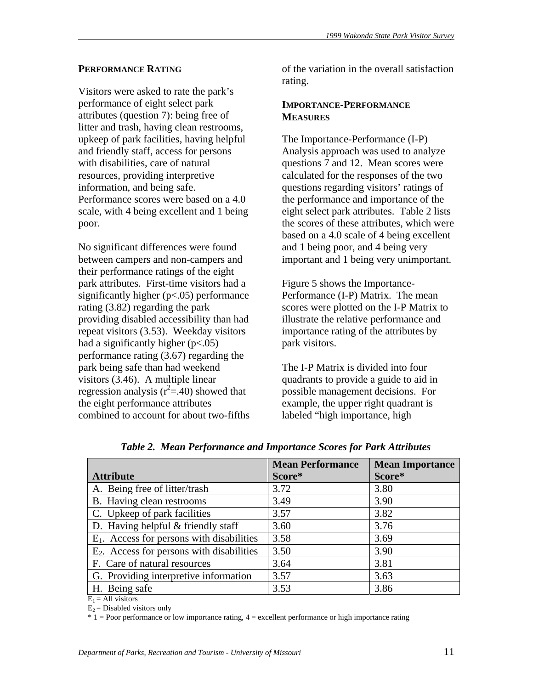# **PERFORMANCE RATING**

Visitors were asked to rate the park's performance of eight select park attributes (question 7): being free of litter and trash, having clean restrooms, upkeep of park facilities, having helpful and friendly staff, access for persons with disabilities, care of natural resources, providing interpretive information, and being safe. Performance scores were based on a 4.0 scale, with 4 being excellent and 1 being poor.

No significant differences were found between campers and non-campers and their performance ratings of the eight park attributes. First-time visitors had a significantly higher (p<.05) performance rating (3.82) regarding the park providing disabled accessibility than had repeat visitors (3.53). Weekday visitors had a significantly higher  $(p<.05)$ performance rating (3.67) regarding the park being safe than had weekend visitors (3.46). A multiple linear regression analysis ( $r^2 = .40$ ) showed that the eight performance attributes combined to account for about two-fifths of the variation in the overall satisfaction rating.

#### **IMPORTANCE-PERFORMANCE MEASURES**

The Importance-Performance (I-P) Analysis approach was used to analyze questions 7 and 12. Mean scores were calculated for the responses of the two questions regarding visitors' ratings of the performance and importance of the eight select park attributes. Table 2 lists the scores of these attributes, which were based on a 4.0 scale of 4 being excellent and 1 being poor, and 4 being very important and 1 being very unimportant.

Figure 5 shows the Importance-Performance (I-P) Matrix. The mean scores were plotted on the I-P Matrix to illustrate the relative performance and importance rating of the attributes by park visitors.

The I-P Matrix is divided into four quadrants to provide a guide to aid in possible management decisions. For example, the upper right quadrant is labeled "high importance, high

|                                              | <b>Mean Performance</b> | <b>Mean Importance</b> |
|----------------------------------------------|-------------------------|------------------------|
| <b>Attribute</b>                             | Score*                  | Score*                 |
| A. Being free of litter/trash                | 3.72                    | 3.80                   |
| B. Having clean restrooms                    | 3.49                    | 3.90                   |
| C. Upkeep of park facilities                 | 3.57                    | 3.82                   |
| D. Having helpful $&$ friendly staff         | 3.60                    | 3.76                   |
| $E_1$ . Access for persons with disabilities | 3.58                    | 3.69                   |
| $E_2$ . Access for persons with disabilities | 3.50                    | 3.90                   |
| F. Care of natural resources                 | 3.64                    | 3.81                   |
| G. Providing interpretive information        | 3.57                    | 3.63                   |
| H. Being safe                                | 3.53                    | 3.86                   |

*Table 2. Mean Performance and Importance Scores for Park Attributes* 

 $E_1$  = All visitors

 $E_2$  = Disabled visitors only

 $* 1 =$  Poor performance or low importance rating,  $4 =$  excellent performance or high importance rating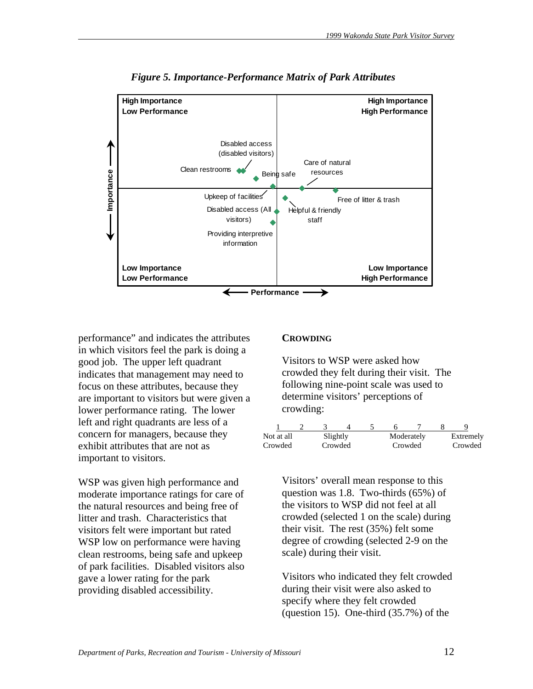

*Figure 5. Importance-Performance Matrix of Park Attributes* 

performance" and indicates the attributes in which visitors feel the park is doing a good job. The upper left quadrant indicates that management may need to focus on these attributes, because they are important to visitors but were given a lower performance rating. The lower left and right quadrants are less of a concern for managers, because they exhibit attributes that are not as important to visitors.

WSP was given high performance and moderate importance ratings for care of the natural resources and being free of litter and trash. Characteristics that visitors felt were important but rated WSP low on performance were having clean restrooms, being safe and upkeep of park facilities. Disabled visitors also gave a lower rating for the park providing disabled accessibility.

#### **CROWDING**

Visitors to WSP were asked how crowded they felt during their visit. The following nine-point scale was used to determine visitors' perceptions of crowding:

| Not at all<br>Crowded | Slightly | Crowded | Crowded | Moderately | Extremely<br>Crowded |
|-----------------------|----------|---------|---------|------------|----------------------|

Visitors' overall mean response to this question was 1.8. Two-thirds (65%) of the visitors to WSP did not feel at all crowded (selected 1 on the scale) during their visit. The rest (35%) felt some degree of crowding (selected 2-9 on the scale) during their visit.

Visitors who indicated they felt crowded during their visit were also asked to specify where they felt crowded (question 15). One-third (35.7%) of the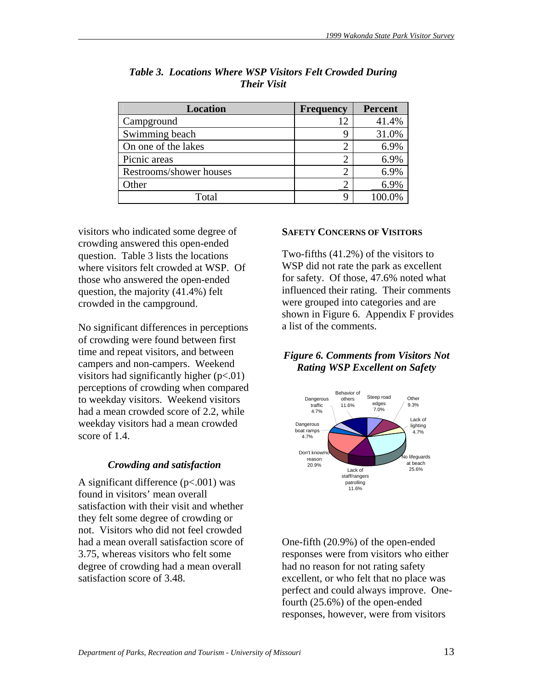| <b>Location</b>         | <b>Frequency</b> | <b>Percent</b> |
|-------------------------|------------------|----------------|
| Campground              | 12               | 41.4%          |
| Swimming beach          | g                | 31.0%          |
| On one of the lakes     |                  | 6.9%           |
| Picnic areas            |                  | 6.9%           |
| Restrooms/shower houses |                  | 6.9%           |
| Other                   |                  | 6.9%           |
| Total                   |                  | 100.0%         |

# *Table 3. Locations Where WSP Visitors Felt Crowded During Their Visit*

visitors who indicated some degree of crowding answered this open-ended question. Table 3 lists the locations where visitors felt crowded at WSP. Of those who answered the open-ended question, the majority (41.4%) felt crowded in the campground.

No significant differences in perceptions of crowding were found between first time and repeat visitors, and between campers and non-campers. Weekend visitors had significantly higher  $(p<.01)$ perceptions of crowding when compared to weekday visitors. Weekend visitors had a mean crowded score of 2.2, while weekday visitors had a mean crowded score of 1.4.

### *Crowding and satisfaction*

A significant difference  $(p<.001)$  was found in visitors' mean overall satisfaction with their visit and whether they felt some degree of crowding or not. Visitors who did not feel crowded had a mean overall satisfaction score of 3.75, whereas visitors who felt some degree of crowding had a mean overall satisfaction score of 3.48.

#### **SAFETY CONCERNS OF VISITORS**

Two-fifths (41.2%) of the visitors to WSP did not rate the park as excellent for safety. Of those, 47.6% noted what influenced their rating. Their comments were grouped into categories and are shown in Figure 6. Appendix F provides a list of the comments.

# *Figure 6. Comments from Visitors Not Rating WSP Excellent on Safety*



One-fifth (20.9%) of the open-ended responses were from visitors who either had no reason for not rating safety excellent, or who felt that no place was perfect and could always improve. Onefourth (25.6%) of the open-ended responses, however, were from visitors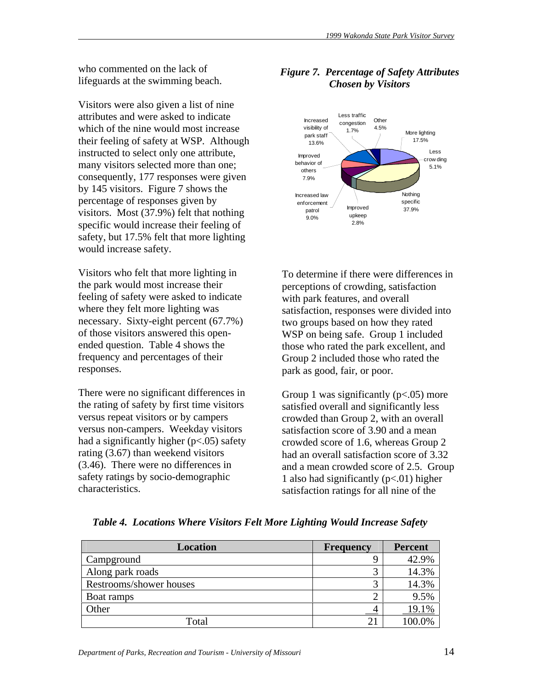who commented on the lack of lifeguards at the swimming beach.

Visitors were also given a list of nine attributes and were asked to indicate which of the nine would most increase their feeling of safety at WSP. Although instructed to select only one attribute, many visitors selected more than one; consequently, 177 responses were given by 145 visitors. Figure 7 shows the percentage of responses given by visitors. Most (37.9%) felt that nothing specific would increase their feeling of safety, but 17.5% felt that more lighting would increase safety.

Visitors who felt that more lighting in the park would most increase their feeling of safety were asked to indicate where they felt more lighting was necessary. Sixty-eight percent (67.7%) of those visitors answered this openended question. Table 4 shows the frequency and percentages of their responses.

There were no significant differences in the rating of safety by first time visitors versus repeat visitors or by campers versus non-campers. Weekday visitors had a significantly higher  $(p<.05)$  safety rating (3.67) than weekend visitors (3.46). There were no differences in safety ratings by socio-demographic characteristics.

# *Figure 7. Percentage of Safety Attributes Chosen by Visitors*



To determine if there were differences in perceptions of crowding, satisfaction with park features, and overall satisfaction, responses were divided into two groups based on how they rated WSP on being safe. Group 1 included those who rated the park excellent, and Group 2 included those who rated the park as good, fair, or poor.

Group 1 was significantly  $(p<.05)$  more satisfied overall and significantly less crowded than Group 2, with an overall satisfaction score of 3.90 and a mean crowded score of 1.6, whereas Group 2 had an overall satisfaction score of 3.32 and a mean crowded score of 2.5. Group 1 also had significantly  $(p<.01)$  higher satisfaction ratings for all nine of the

| <b>Location</b>         | <b>Frequency</b> | <b>Percent</b> |
|-------------------------|------------------|----------------|
| Campground              |                  | 42.9%          |
| Along park roads        |                  | 14.3%          |
| Restrooms/shower houses |                  | 14.3%          |
| Boat ramps              |                  | 9.5%           |
| Other                   |                  | 19.1%          |
| Total                   | $\overline{2}$   |                |

*Table 4. Locations Where Visitors Felt More Lighting Would Increase Safety*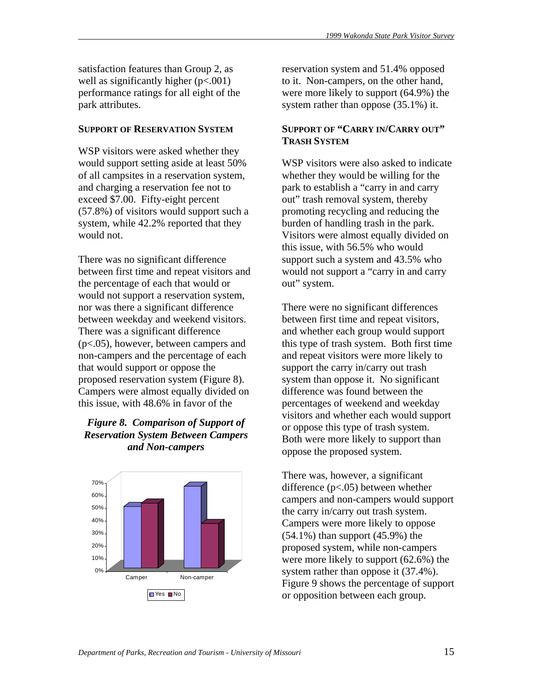satisfaction features than Group 2, as well as significantly higher  $(p<.001)$ performance ratings for all eight of the park attributes.

#### **SUPPORT OF RESERVATION SYSTEM**

WSP visitors were asked whether they would support setting aside at least 50% of all campsites in a reservation system, and charging a reservation fee not to exceed \$7.00. Fifty-eight percent (57.8%) of visitors would support such a system, while 42.2% reported that they would not.

There was no significant difference between first time and repeat visitors and the percentage of each that would or would not support a reservation system, nor was there a significant difference between weekday and weekend visitors. There was a significant difference (p<.05), however, between campers and non-campers and the percentage of each that would support or oppose the proposed reservation system (Figure 8). Campers were almost equally divided on this issue, with 48.6% in favor of the

# *Figure 8. Comparison of Support of Reservation System Between Campers and Non-campers*



reservation system and 51.4% opposed to it. Non-campers, on the other hand, were more likely to support (64.9%) the system rather than oppose (35.1%) it.

# **SUPPORT OF "CARRY IN/CARRY OUT" TRASH SYSTEM**

WSP visitors were also asked to indicate whether they would be willing for the park to establish a "carry in and carry out" trash removal system, thereby promoting recycling and reducing the burden of handling trash in the park. Visitors were almost equally divided on this issue, with 56.5% who would support such a system and 43.5% who would not support a "carry in and carry out" system.

There were no significant differences between first time and repeat visitors, and whether each group would support this type of trash system. Both first time and repeat visitors were more likely to support the carry in/carry out trash system than oppose it. No significant difference was found between the percentages of weekend and weekday visitors and whether each would support or oppose this type of trash system. Both were more likely to support than oppose the proposed system.

There was, however, a significant difference (p<.05) between whether campers and non-campers would support the carry in/carry out trash system. Campers were more likely to oppose  $(54.1\%)$  than support  $(45.9\%)$  the proposed system, while non-campers were more likely to support (62.6%) the system rather than oppose it  $(37.4\%)$ . Figure 9 shows the percentage of support or opposition between each group.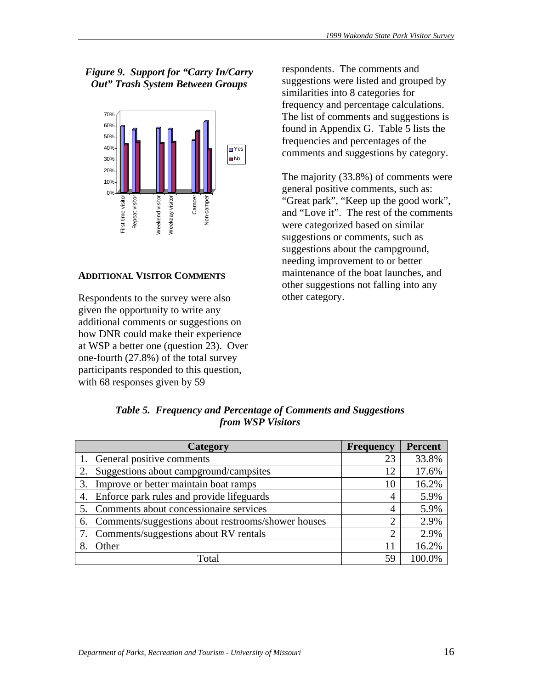# *Figure 9. Support for "Carry In/Carry Out" Trash System Between Groups*



### **ADDITIONAL VISITOR COMMENTS**

Respondents to the survey were also given the opportunity to write any additional comments or suggestions on how DNR could make their experience at WSP a better one (question 23). Over one-fourth (27.8%) of the total survey participants responded to this question, with 68 responses given by 59

respondents. The comments and suggestions were listed and grouped by similarities into 8 categories for frequency and percentage calculations. The list of comments and suggestions is found in Appendix G. Table 5 lists the frequencies and percentages of the comments and suggestions by category.

The majority (33.8%) of comments were general positive comments, such as: "Great park", "Keep up the good work", and "Love it". The rest of the comments were categorized based on similar suggestions or comments, such as suggestions about the campground, needing improvement to or better maintenance of the boat launches, and other suggestions not falling into any other category.

|    | Category                                           | <b>Frequency</b>            | Percent |
|----|----------------------------------------------------|-----------------------------|---------|
|    | General positive comments                          | 23                          | 33.8%   |
|    | Suggestions about campground/campsites             | 12                          | 17.6%   |
| 3. | Improve or better maintain boat ramps              | 10                          | 16.2%   |
| 4. | Enforce park rules and provide lifeguards          | 4                           | 5.9%    |
|    | Comments about concessionaire services             | 4                           | 5.9%    |
|    | Comments/suggestions about restrooms/shower houses | 2                           | 2.9%    |
|    | Comments/suggestions about RV rentals              | $\mathcal{D}_{\mathcal{L}}$ | 2.9%    |
|    | Other                                              |                             | 16.2%   |
|    | Total                                              | 59                          | 100.0%  |

*Table 5. Frequency and Percentage of Comments and Suggestions from WSP Visitors*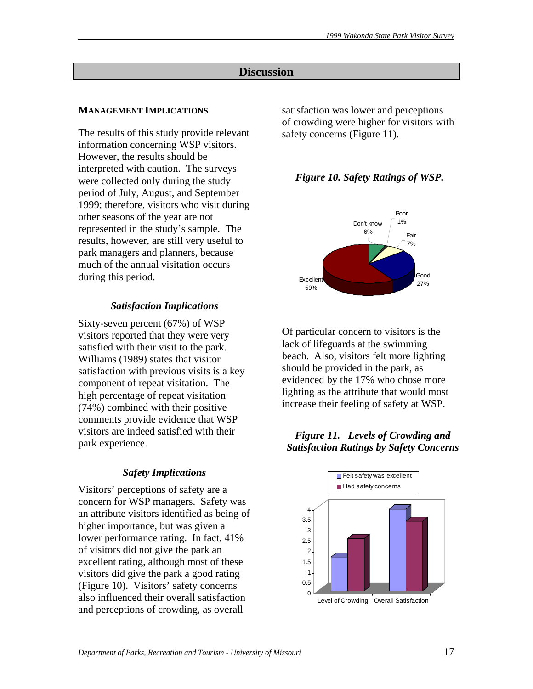# **Discussion**

# **MANAGEMENT IMPLICATIONS**

The results of this study provide relevant information concerning WSP visitors. However, the results should be interpreted with caution. The surveys were collected only during the study period of July, August, and September 1999; therefore, visitors who visit during other seasons of the year are not represented in the study's sample. The results, however, are still very useful to park managers and planners, because much of the annual visitation occurs during this period.

# *Satisfaction Implications*

Sixty-seven percent (67%) of WSP visitors reported that they were very satisfied with their visit to the park. Williams (1989) states that visitor satisfaction with previous visits is a key component of repeat visitation. The high percentage of repeat visitation (74%) combined with their positive comments provide evidence that WSP visitors are indeed satisfied with their park experience.

# *Safety Implications*

Visitors' perceptions of safety are a concern for WSP managers. Safety was an attribute visitors identified as being of higher importance, but was given a lower performance rating. In fact, 41% of visitors did not give the park an excellent rating, although most of these visitors did give the park a good rating (Figure 10). Visitors' safety concerns also influenced their overall satisfaction and perceptions of crowding, as overall

satisfaction was lower and perceptions of crowding were higher for visitors with safety concerns (Figure 11).

# *Figure 10. Safety Ratings of WSP.*



Of particular concern to visitors is the lack of lifeguards at the swimming beach. Also, visitors felt more lighting should be provided in the park, as evidenced by the 17% who chose more lighting as the attribute that would most increase their feeling of safety at WSP.

# *Figure 11. Levels of Crowding and Satisfaction Ratings by Safety Concerns*

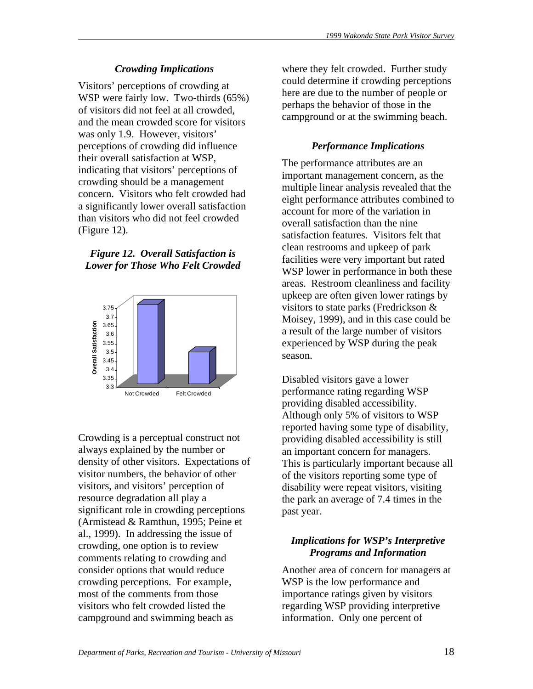# *Crowding Implications*

Visitors' perceptions of crowding at WSP were fairly low. Two-thirds (65%) of visitors did not feel at all crowded, and the mean crowded score for visitors was only 1.9. However, visitors' perceptions of crowding did influence their overall satisfaction at WSP, indicating that visitors' perceptions of crowding should be a management concern. Visitors who felt crowded had a significantly lower overall satisfaction than visitors who did not feel crowded (Figure 12).

*Figure 12. Overall Satisfaction is Lower for Those Who Felt Crowded* 



Crowding is a perceptual construct not always explained by the number or density of other visitors. Expectations of visitor numbers, the behavior of other visitors, and visitors' perception of resource degradation all play a significant role in crowding perceptions (Armistead & Ramthun, 1995; Peine et al., 1999). In addressing the issue of crowding, one option is to review comments relating to crowding and consider options that would reduce crowding perceptions. For example, most of the comments from those visitors who felt crowded listed the campground and swimming beach as

where they felt crowded. Further study could determine if crowding perceptions here are due to the number of people or perhaps the behavior of those in the campground or at the swimming beach.

# *Performance Implications*

The performance attributes are an important management concern, as the multiple linear analysis revealed that the eight performance attributes combined to account for more of the variation in overall satisfaction than the nine satisfaction features. Visitors felt that clean restrooms and upkeep of park facilities were very important but rated WSP lower in performance in both these areas. Restroom cleanliness and facility upkeep are often given lower ratings by visitors to state parks (Fredrickson & Moisey, 1999), and in this case could be a result of the large number of visitors experienced by WSP during the peak season.

Disabled visitors gave a lower performance rating regarding WSP providing disabled accessibility. Although only 5% of visitors to WSP reported having some type of disability, providing disabled accessibility is still an important concern for managers. This is particularly important because all of the visitors reporting some type of disability were repeat visitors, visiting the park an average of 7.4 times in the past year.

# *Implications for WSP's Interpretive Programs and Information*

Another area of concern for managers at WSP is the low performance and importance ratings given by visitors regarding WSP providing interpretive information. Only one percent of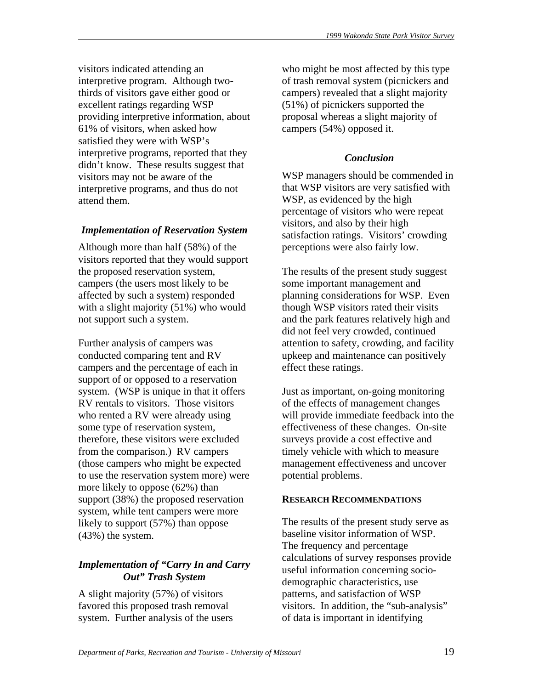visitors indicated attending an interpretive program. Although twothirds of visitors gave either good or excellent ratings regarding WSP providing interpretive information, about 61% of visitors, when asked how satisfied they were with WSP's interpretive programs, reported that they didn't know. These results suggest that visitors may not be aware of the interpretive programs, and thus do not attend them.

# *Implementation of Reservation System*

Although more than half (58%) of the visitors reported that they would support the proposed reservation system, campers (the users most likely to be affected by such a system) responded with a slight majority (51%) who would not support such a system.

Further analysis of campers was conducted comparing tent and RV campers and the percentage of each in support of or opposed to a reservation system. (WSP is unique in that it offers RV rentals to visitors. Those visitors who rented a RV were already using some type of reservation system, therefore, these visitors were excluded from the comparison.) RV campers (those campers who might be expected to use the reservation system more) were more likely to oppose (62%) than support (38%) the proposed reservation system, while tent campers were more likely to support (57%) than oppose (43%) the system.

# *Implementation of "Carry In and Carry Out" Trash System*

A slight majority (57%) of visitors favored this proposed trash removal system. Further analysis of the users who might be most affected by this type of trash removal system (picnickers and campers) revealed that a slight majority (51%) of picnickers supported the proposal whereas a slight majority of campers (54%) opposed it.

# *Conclusion*

WSP managers should be commended in that WSP visitors are very satisfied with WSP, as evidenced by the high percentage of visitors who were repeat visitors, and also by their high satisfaction ratings. Visitors' crowding perceptions were also fairly low.

The results of the present study suggest some important management and planning considerations for WSP. Even though WSP visitors rated their visits and the park features relatively high and did not feel very crowded, continued attention to safety, crowding, and facility upkeep and maintenance can positively effect these ratings.

Just as important, on-going monitoring of the effects of management changes will provide immediate feedback into the effectiveness of these changes. On-site surveys provide a cost effective and timely vehicle with which to measure management effectiveness and uncover potential problems.

# **RESEARCH RECOMMENDATIONS**

The results of the present study serve as baseline visitor information of WSP. The frequency and percentage calculations of survey responses provide useful information concerning sociodemographic characteristics, use patterns, and satisfaction of WSP visitors. In addition, the "sub-analysis" of data is important in identifying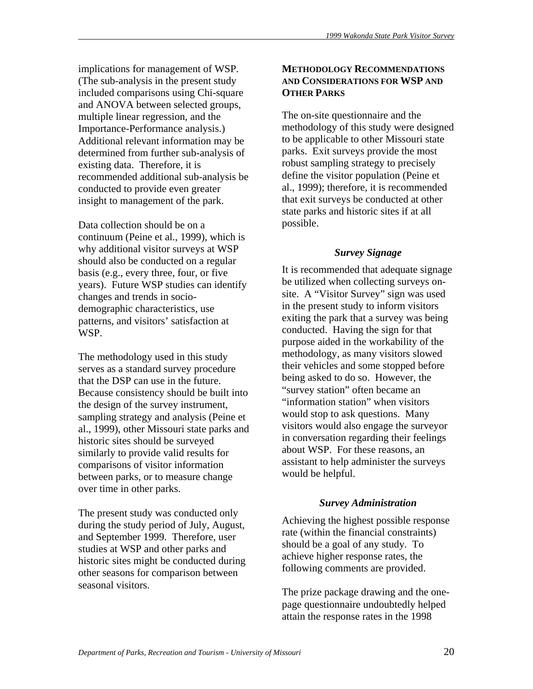implications for management of WSP. (The sub-analysis in the present study included comparisons using Chi-square and ANOVA between selected groups, multiple linear regression, and the Importance-Performance analysis.) Additional relevant information may be determined from further sub-analysis of existing data. Therefore, it is recommended additional sub-analysis be conducted to provide even greater insight to management of the park.

Data collection should be on a continuum (Peine et al., 1999), which is why additional visitor surveys at WSP should also be conducted on a regular basis (e.g., every three, four, or five years). Future WSP studies can identify changes and trends in sociodemographic characteristics, use patterns, and visitors' satisfaction at WSP.

The methodology used in this study serves as a standard survey procedure that the DSP can use in the future. Because consistency should be built into the design of the survey instrument, sampling strategy and analysis (Peine et al., 1999), other Missouri state parks and historic sites should be surveyed similarly to provide valid results for comparisons of visitor information between parks, or to measure change over time in other parks.

The present study was conducted only during the study period of July, August, and September 1999. Therefore, user studies at WSP and other parks and historic sites might be conducted during other seasons for comparison between seasonal visitors.

# **METHODOLOGY RECOMMENDATIONS AND CONSIDERATIONS FOR WSP AND OTHER PARKS**

The on-site questionnaire and the methodology of this study were designed to be applicable to other Missouri state parks. Exit surveys provide the most robust sampling strategy to precisely define the visitor population (Peine et al., 1999); therefore, it is recommended that exit surveys be conducted at other state parks and historic sites if at all possible.

# *Survey Signage*

It is recommended that adequate signage be utilized when collecting surveys onsite. A "Visitor Survey" sign was used in the present study to inform visitors exiting the park that a survey was being conducted. Having the sign for that purpose aided in the workability of the methodology, as many visitors slowed their vehicles and some stopped before being asked to do so. However, the "survey station" often became an "information station" when visitors would stop to ask questions. Many visitors would also engage the surveyor in conversation regarding their feelings about WSP. For these reasons, an assistant to help administer the surveys would be helpful.

# *Survey Administration*

Achieving the highest possible response rate (within the financial constraints) should be a goal of any study. To achieve higher response rates, the following comments are provided.

The prize package drawing and the onepage questionnaire undoubtedly helped attain the response rates in the 1998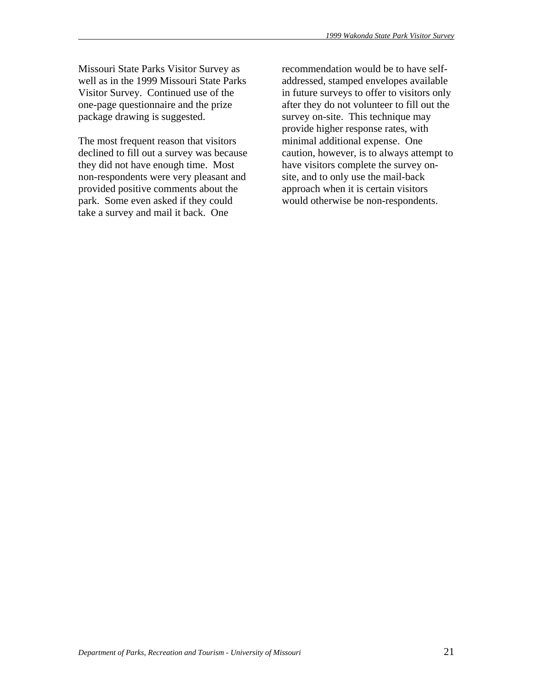Missouri State Parks Visitor Survey as well as in the 1999 Missouri State Parks Visitor Survey. Continued use of the one-page questionnaire and the prize package drawing is suggested.

The most frequent reason that visitors declined to fill out a survey was because they did not have enough time. Most non-respondents were very pleasant and provided positive comments about the park. Some even asked if they could take a survey and mail it back. One

recommendation would be to have selfaddressed, stamped envelopes available in future surveys to offer to visitors only after they do not volunteer to fill out the survey on-site. This technique may provide higher response rates, with minimal additional expense. One caution, however, is to always attempt to have visitors complete the survey onsite, and to only use the mail-back approach when it is certain visitors would otherwise be non-respondents.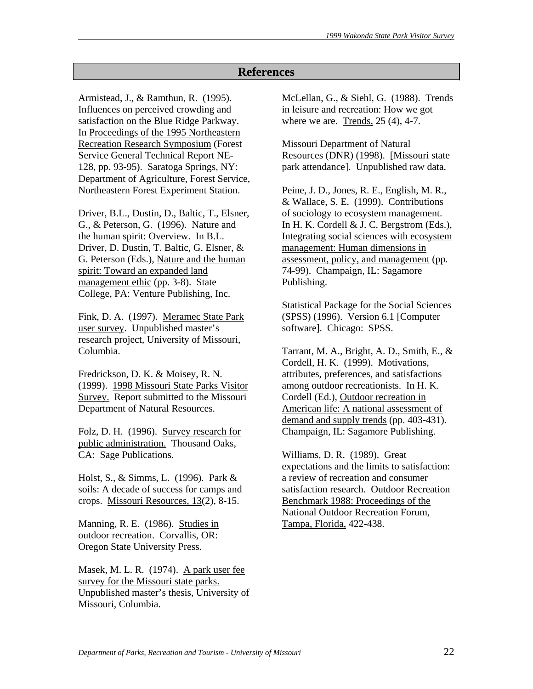# **References**

Armistead, J., & Ramthun, R. (1995). Influences on perceived crowding and satisfaction on the Blue Ridge Parkway. In Proceedings of the 1995 Northeastern Recreation Research Symposium (Forest Service General Technical Report NE-128, pp. 93-95). Saratoga Springs, NY: Department of Agriculture, Forest Service, Northeastern Forest Experiment Station.

Driver, B.L., Dustin, D., Baltic, T., Elsner, G., & Peterson, G. (1996). Nature and the human spirit: Overview. In B.L. Driver, D. Dustin, T. Baltic, G. Elsner, & G. Peterson (Eds.), Nature and the human spirit: Toward an expanded land management ethic (pp. 3-8). State College, PA: Venture Publishing, Inc.

Fink, D. A. (1997). Meramec State Park user survey. Unpublished master's research project, University of Missouri, Columbia.

Fredrickson, D. K. & Moisey, R. N. (1999). 1998 Missouri State Parks Visitor Survey. Report submitted to the Missouri Department of Natural Resources.

Folz, D. H. (1996). Survey research for public administration. Thousand Oaks, CA: Sage Publications.

Holst, S., & Simms, L. (1996). Park & soils: A decade of success for camps and crops. Missouri Resources, 13(2), 8-15.

Manning, R. E. (1986). Studies in outdoor recreation. Corvallis, OR: Oregon State University Press.

Masek, M. L. R. (1974). A park user fee survey for the Missouri state parks. Unpublished master's thesis, University of Missouri, Columbia.

McLellan, G., & Siehl, G. (1988). Trends in leisure and recreation: How we got where we are. Trends, 25 (4), 4-7.

Missouri Department of Natural Resources (DNR) (1998). [Missouri state park attendance]. Unpublished raw data.

Peine, J. D., Jones, R. E., English, M. R., & Wallace, S. E. (1999). Contributions of sociology to ecosystem management. In H. K. Cordell & J. C. Bergstrom (Eds.), Integrating social sciences with ecosystem management: Human dimensions in assessment, policy, and management (pp. 74-99). Champaign, IL: Sagamore Publishing.

Statistical Package for the Social Sciences (SPSS) (1996). Version 6.1 [Computer software]. Chicago: SPSS.

Tarrant, M. A., Bright, A. D., Smith, E., & Cordell, H. K. (1999). Motivations, attributes, preferences, and satisfactions among outdoor recreationists. In H. K. Cordell (Ed.), Outdoor recreation in American life: A national assessment of demand and supply trends (pp. 403-431). Champaign, IL: Sagamore Publishing.

Williams, D. R. (1989). Great expectations and the limits to satisfaction: a review of recreation and consumer satisfaction research. Outdoor Recreation Benchmark 1988: Proceedings of the National Outdoor Recreation Forum, Tampa, Florida, 422-438.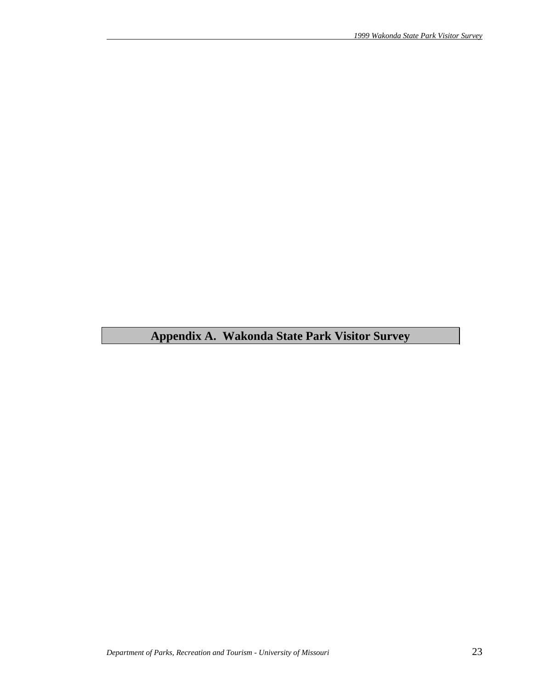# **Appendix A. Wakonda State Park Visitor Survey**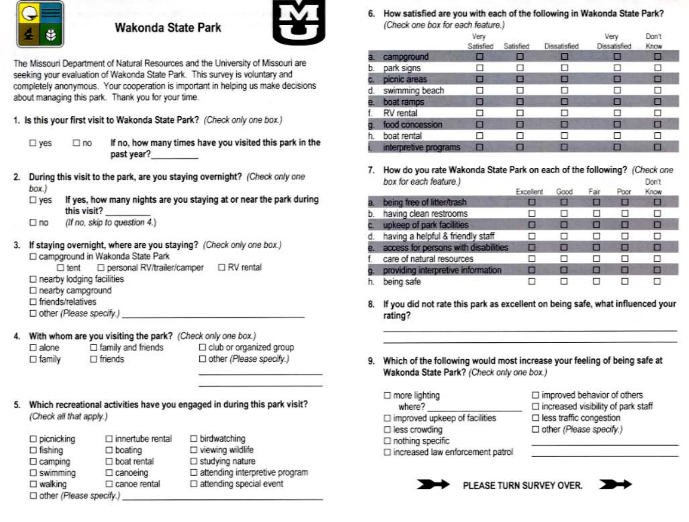

# **Wakonda State Park**



The Missouri Department of Natural Resources and the University of Missouri are seeking your evaluation of Wakonda State Park. This survey is voluntary and completely anonymous. Your cooperation is important in helping us make decisions about managing this park. Thank you for your time.

1. Is this your first visit to Wakonda State Park? (Check only one box.)

 $\square$  yes

If no, how many times have you visited this park in the past year?

- 2. During this visit to the park, are you staying overnight? (Check only one box.)
	- If yes, how many nights are you staying at or near the park during  $\square$  ves this visit?
	- (If no, skip to question 4.)  $\square$ no

 $\square$  no

3. If staying overnight, where are you staying? (Check only one box.) □ campground in Wakonda State Park

□ personal RV/trailer/camper □ RV rental  $\Box$  tent  $\square$  nearby lodging facilities □ nearby campground

 $\square$  friends/relatives

□ other (Please specify.)

4. With whom are you visiting the park? (Check only one box.)

 $\square$  family and friends  $\Box$  alone  $\square$  family  $\Box$  friends

- D club or organized group □ other (Please specify.)
- 5. Which recreational activities have you engaged in during this park visit? (Check all that apply.)

| $\square$ picnicking           | □ innertube rental    | $\square$ birdwatching                   |
|--------------------------------|-----------------------|------------------------------------------|
| $\Box$ fishing                 | $\Box$ boating        | □ viewing wildlife                       |
| $\Box$ camping                 | $\square$ boat rental | $\square$ studying nature                |
| $\square$ swimming             | $\Box$ canoeing       | $\square$ attending interpretive program |
| $\square$ walking              | □ canoe rental        | $\Box$ attending special event           |
| $\Box$ other (Please specify.) |                       |                                          |

6. How satisfied are you with each of the following in Wakonda State Park? (Check one hox for each feature)

|    |                       | Very<br>Satisfied | Satisfied | Dissatisfied | Ven<br>Dissatisfied | Don't<br>Know |  |
|----|-----------------------|-------------------|-----------|--------------|---------------------|---------------|--|
|    | campground            | ш                 |           |              | в                   |               |  |
| D. | park signs            |                   |           |              |                     | ப             |  |
|    | picnic areas          |                   |           |              | ■                   | □             |  |
| d  | swimming beach        |                   |           |              | ю                   | П             |  |
|    | boat ramps            | о                 |           | ш            | ш                   | o             |  |
|    | RV rental             |                   |           |              | П                   | п             |  |
|    | food concession       |                   | в         |              | о                   | е             |  |
| n. | boat rental           |                   | ы         |              | п                   | u             |  |
|    | interpretive programs | п                 |           |              | 国                   |               |  |

7. How do you rate Wakonda State Park on each of the following? (Check one box for each feature.) Don't

|                                      | Excellent | GOOG | maa | <b>KOOW</b>  |  |
|--------------------------------------|-----------|------|-----|--------------|--|
| being free of litter/trash           |           |      | ▬   |              |  |
| having clean restrooms               |           |      | ш   | □            |  |
| upkeep of park facilities            | ▬         |      | □   | ▬            |  |
| having a helpful & friendly staff    |           |      | . . | $\mathbf{1}$ |  |
| access for persons with disabilities |           |      | ь   | ш            |  |
| care of natural resources            |           |      | п   | $\cdots$     |  |
| providing interpretive information   |           |      |     | ш            |  |
| being safe                           |           |      |     |              |  |

- 8. If you did not rate this park as excellent on being safe, what influenced your rating?
- 9. Which of the following would most increase your feeling of being safe at Wakonda State Park? (Check only one box.)
	- $\Box$  more lighting where?  $\Box$  improved upkeep of facilities  $\square$  less crowding
- □ improved behavior of others  $\Box$  increased visibility of park staff
- $\Box$  less traffic congestion
- □ other (Please specify.)
- $\Box$  nothing specific
- □ increased law enforcement patrol



PLEASE TURN SURVEY OVER.

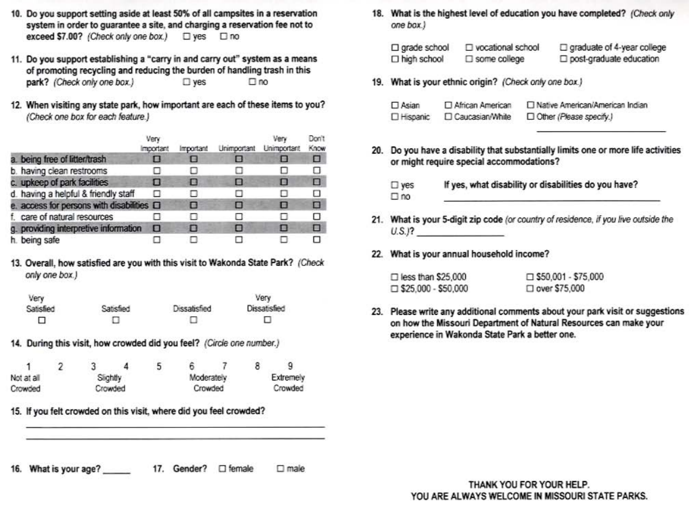- 10. Do you support setting aside at least 50% of all campsites in a reservation system in order to guarantee a site, and charging a reservation fee not to exceed \$7.00? (Check only one box.) □ yes □ no
- 11. Do you support establishing a "carry in and carry out" system as a means of promoting recycling and reducing the burden of handling trash in this park? (Check only one box.)  $\square$  yes  $\square$  no
- 12. When visiting any state park, how important are each of these items to you? (Check one box for each feature.)

|                                           | Very<br><i><b>Important</b></i> | Important | Unimportant | Verv<br><b>Unimportant</b> | Don't<br>Know |
|-------------------------------------------|---------------------------------|-----------|-------------|----------------------------|---------------|
| a. being free of litter/trash             | П                               |           | о           | н                          | Ξ             |
| b. having clean restrooms                 |                                 |           |             |                            | п             |
| c. upkeep of park facilities              | ш                               | ш         | о           | о                          | п             |
| d. having a helpful & friendly staff      |                                 |           | п           | ы                          | п             |
| e. access for persons with disabilities O |                                 | о         | п           | Ð                          | ю             |
| f. care of natural resources              |                                 | п         | п           | П                          | п             |
| g. providing interpretive information     | B                               | п         | ▣           | п                          | п             |
| h. being safe                             |                                 |           |             |                            | п             |

13. Overall, how satisfied are you with this visit to Wakonda State Park? (Check only one box.)

| Very      |           |              | Very         |
|-----------|-----------|--------------|--------------|
| Satisfied | Satisfied | Dissatisfied | Dissatisfied |
| ⊔         | Π         |              | u            |

14. During this visit, how crowded did you feel? (Circle one number.)

| Not at all         |  |  | Slightly |  | Moderately |  | Extremely |  |
|--------------------|--|--|----------|--|------------|--|-----------|--|
| Crowded<br>Crowded |  |  |          |  | Crowded    |  | Crowded   |  |

- 15. If you felt crowded on this visit, where did you feel crowded?
- 16. What is your age? 17. Gender? □ female  $\square$  male

18. What is the highest level of education you have completed? (Check only one box.)

| $\Box$ grade school | □ vocational school    | $\Box$ graduate of 4-year college |
|---------------------|------------------------|-----------------------------------|
| $\Box$ high school  | $\square$ some college | post-graduate education           |

19. What is your ethnic origin? (Check only one box.)

| $\Box$ Asian      | □ African American | □ Native American/American Indian |
|-------------------|--------------------|-----------------------------------|
| <b>D</b> Hispanic | □ Caucasian/White  | D Other (Please specify.)         |

20. Do you have a disability that substantially limits one or more life activities or might require special accommodations?

| $\square$ yes | If yes, what disability or disabilities do you have? |
|---------------|------------------------------------------------------|
| $\square$ no  |                                                      |

- 21. What is your 5-digit zip code (or country of residence, if you live outside the  $U.S.$ )?
- 22. What is your annual household income?

| $\Box$ less than \$25,000  | $\square$ \$50,001 - \$75,000 |
|----------------------------|-------------------------------|
| $\Box$ \$25.000 - \$50,000 | $\Box$ over \$75,000          |

23. Please write any additional comments about your park visit or suggestions on how the Missouri Department of Natural Resources can make your experience in Wakonda State Park a better one.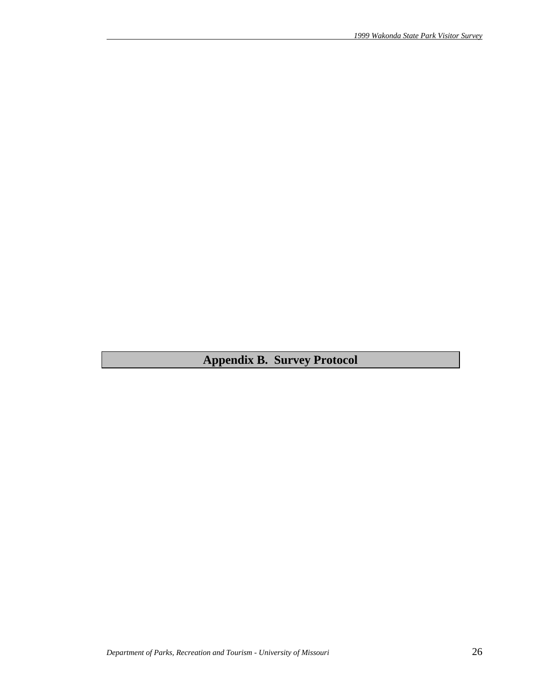**Appendix B. Survey Protocol**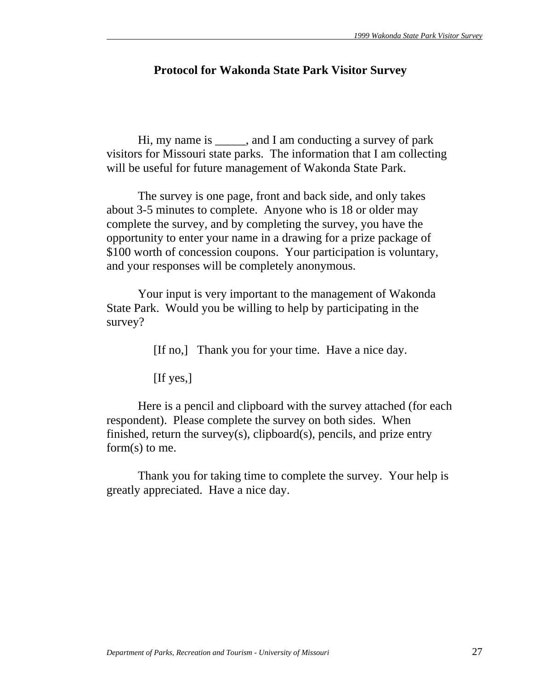# **Protocol for Wakonda State Park Visitor Survey**

 Hi, my name is \_\_\_\_\_, and I am conducting a survey of park visitors for Missouri state parks. The information that I am collecting will be useful for future management of Wakonda State Park.

 The survey is one page, front and back side, and only takes about 3-5 minutes to complete. Anyone who is 18 or older may complete the survey, and by completing the survey, you have the opportunity to enter your name in a drawing for a prize package of \$100 worth of concession coupons. Your participation is voluntary, and your responses will be completely anonymous.

 Your input is very important to the management of Wakonda State Park. Would you be willing to help by participating in the survey?

[If no,] Thank you for your time. Have a nice day.

[If yes,]

 Here is a pencil and clipboard with the survey attached (for each respondent). Please complete the survey on both sides. When finished, return the survey(s), clipboard(s), pencils, and prize entry form(s) to me.

 Thank you for taking time to complete the survey. Your help is greatly appreciated. Have a nice day.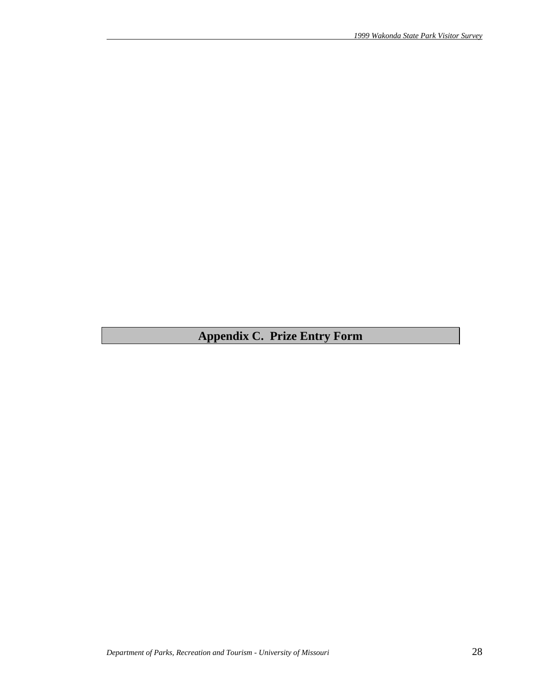# **Appendix C. Prize Entry Form**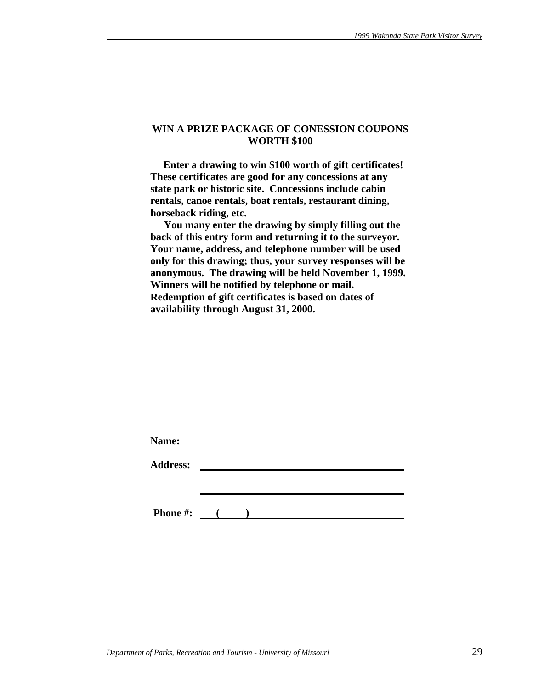#### **WIN A PRIZE PACKAGE OF CONESSION COUPONS WORTH \$100**

 **Enter a drawing to win \$100 worth of gift certificates! These certificates are good for any concessions at any state park or historic site. Concessions include cabin rentals, canoe rentals, boat rentals, restaurant dining, horseback riding, etc.** 

 **You many enter the drawing by simply filling out the back of this entry form and returning it to the surveyor. Your name, address, and telephone number will be used only for this drawing; thus, your survey responses will be anonymous. The drawing will be held November 1, 1999. Winners will be notified by telephone or mail. Redemption of gift certificates is based on dates of availability through August 31, 2000.** 

| Name:           |                     |  |  |  |
|-----------------|---------------------|--|--|--|
| <b>Address:</b> |                     |  |  |  |
|                 |                     |  |  |  |
|                 |                     |  |  |  |
| <b>Phone #:</b> | $\sim$ 1.000 $\sim$ |  |  |  |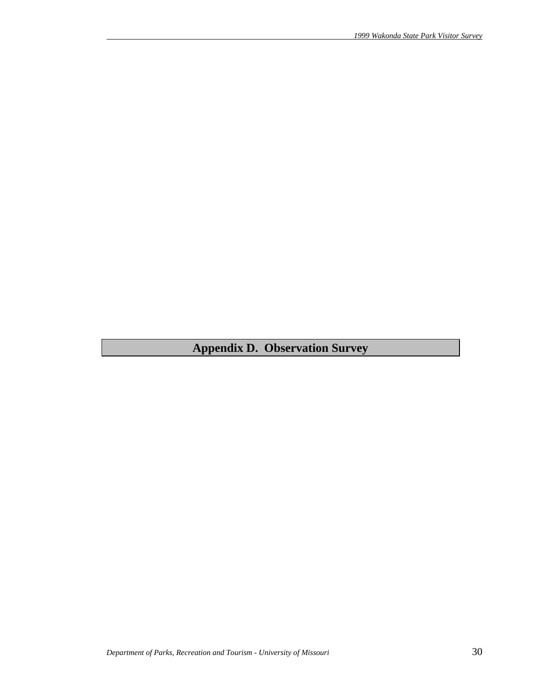**Appendix D. Observation Survey**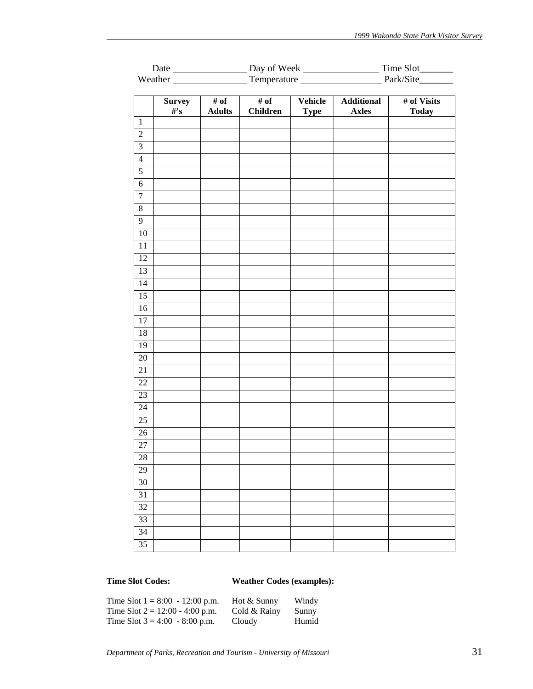| Weather Temperature Fernandezer Park/Site<br># of<br>Vehicle<br><b>Survey</b><br># of<br><b>Additional</b><br># of Visits<br>$\#$ 's<br><b>Adults</b><br><b>Children</b><br><b>Axles</b><br><b>Today</b><br><b>Type</b><br>$\,1\,$<br>$\overline{2}$<br>$\overline{3}$<br>$\overline{4}$<br>$\overline{5}$<br>$\overline{6}$<br>$\overline{7}$<br>$\overline{8}$<br>$\overline{9}$<br>$10\,$<br>11<br>12<br>13<br>14<br>$\overline{15}$<br>16<br>17<br>18<br>19<br>$20\,$<br>21<br>22<br>23<br>24<br>25<br>26 |    |  |  |  |  |  |  |  |
|---------------------------------------------------------------------------------------------------------------------------------------------------------------------------------------------------------------------------------------------------------------------------------------------------------------------------------------------------------------------------------------------------------------------------------------------------------------------------------------------------------------|----|--|--|--|--|--|--|--|
|                                                                                                                                                                                                                                                                                                                                                                                                                                                                                                               |    |  |  |  |  |  |  |  |
|                                                                                                                                                                                                                                                                                                                                                                                                                                                                                                               |    |  |  |  |  |  |  |  |
|                                                                                                                                                                                                                                                                                                                                                                                                                                                                                                               |    |  |  |  |  |  |  |  |
|                                                                                                                                                                                                                                                                                                                                                                                                                                                                                                               |    |  |  |  |  |  |  |  |
|                                                                                                                                                                                                                                                                                                                                                                                                                                                                                                               |    |  |  |  |  |  |  |  |
|                                                                                                                                                                                                                                                                                                                                                                                                                                                                                                               |    |  |  |  |  |  |  |  |
|                                                                                                                                                                                                                                                                                                                                                                                                                                                                                                               |    |  |  |  |  |  |  |  |
|                                                                                                                                                                                                                                                                                                                                                                                                                                                                                                               |    |  |  |  |  |  |  |  |
|                                                                                                                                                                                                                                                                                                                                                                                                                                                                                                               |    |  |  |  |  |  |  |  |
|                                                                                                                                                                                                                                                                                                                                                                                                                                                                                                               |    |  |  |  |  |  |  |  |
|                                                                                                                                                                                                                                                                                                                                                                                                                                                                                                               |    |  |  |  |  |  |  |  |
|                                                                                                                                                                                                                                                                                                                                                                                                                                                                                                               |    |  |  |  |  |  |  |  |
|                                                                                                                                                                                                                                                                                                                                                                                                                                                                                                               |    |  |  |  |  |  |  |  |
|                                                                                                                                                                                                                                                                                                                                                                                                                                                                                                               |    |  |  |  |  |  |  |  |
|                                                                                                                                                                                                                                                                                                                                                                                                                                                                                                               |    |  |  |  |  |  |  |  |
|                                                                                                                                                                                                                                                                                                                                                                                                                                                                                                               |    |  |  |  |  |  |  |  |
|                                                                                                                                                                                                                                                                                                                                                                                                                                                                                                               |    |  |  |  |  |  |  |  |
|                                                                                                                                                                                                                                                                                                                                                                                                                                                                                                               |    |  |  |  |  |  |  |  |
|                                                                                                                                                                                                                                                                                                                                                                                                                                                                                                               |    |  |  |  |  |  |  |  |
|                                                                                                                                                                                                                                                                                                                                                                                                                                                                                                               |    |  |  |  |  |  |  |  |
|                                                                                                                                                                                                                                                                                                                                                                                                                                                                                                               |    |  |  |  |  |  |  |  |
|                                                                                                                                                                                                                                                                                                                                                                                                                                                                                                               |    |  |  |  |  |  |  |  |
|                                                                                                                                                                                                                                                                                                                                                                                                                                                                                                               |    |  |  |  |  |  |  |  |
|                                                                                                                                                                                                                                                                                                                                                                                                                                                                                                               |    |  |  |  |  |  |  |  |
|                                                                                                                                                                                                                                                                                                                                                                                                                                                                                                               |    |  |  |  |  |  |  |  |
|                                                                                                                                                                                                                                                                                                                                                                                                                                                                                                               |    |  |  |  |  |  |  |  |
|                                                                                                                                                                                                                                                                                                                                                                                                                                                                                                               |    |  |  |  |  |  |  |  |
|                                                                                                                                                                                                                                                                                                                                                                                                                                                                                                               |    |  |  |  |  |  |  |  |
|                                                                                                                                                                                                                                                                                                                                                                                                                                                                                                               |    |  |  |  |  |  |  |  |
|                                                                                                                                                                                                                                                                                                                                                                                                                                                                                                               | 27 |  |  |  |  |  |  |  |
| 28                                                                                                                                                                                                                                                                                                                                                                                                                                                                                                            |    |  |  |  |  |  |  |  |
| 29                                                                                                                                                                                                                                                                                                                                                                                                                                                                                                            |    |  |  |  |  |  |  |  |
| $30\,$                                                                                                                                                                                                                                                                                                                                                                                                                                                                                                        |    |  |  |  |  |  |  |  |
| 31                                                                                                                                                                                                                                                                                                                                                                                                                                                                                                            |    |  |  |  |  |  |  |  |
| 32                                                                                                                                                                                                                                                                                                                                                                                                                                                                                                            |    |  |  |  |  |  |  |  |
| $\overline{33}$                                                                                                                                                                                                                                                                                                                                                                                                                                                                                               |    |  |  |  |  |  |  |  |
| 34                                                                                                                                                                                                                                                                                                                                                                                                                                                                                                            |    |  |  |  |  |  |  |  |
| 35                                                                                                                                                                                                                                                                                                                                                                                                                                                                                                            |    |  |  |  |  |  |  |  |

# **Time Slot Codes: Weather Codes (examples):**

| Time Slot $1 = 8:00 - 12:00$ p.m. | Hot & Sunny  | Windy |
|-----------------------------------|--------------|-------|
| Time Slot $2 = 12:00 - 4:00$ p.m. | Cold & Rainy | Sunny |
| Time Slot $3 = 4:00 - 8:00$ p.m.  | Cloudy       | Humid |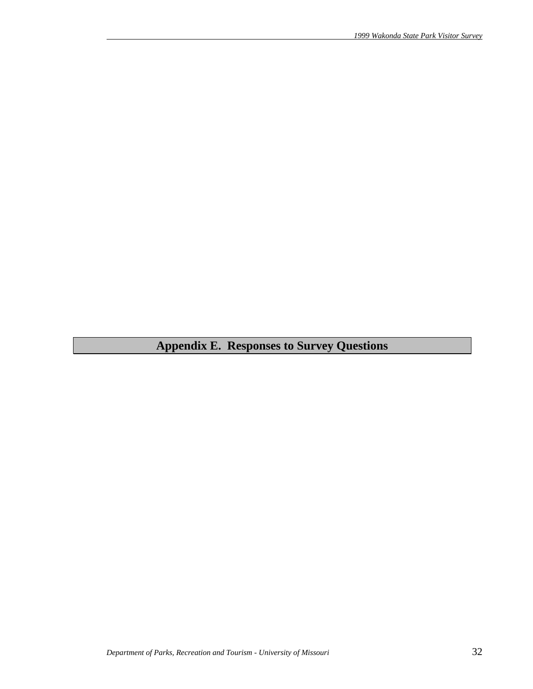# **Appendix E. Responses to Survey Questions**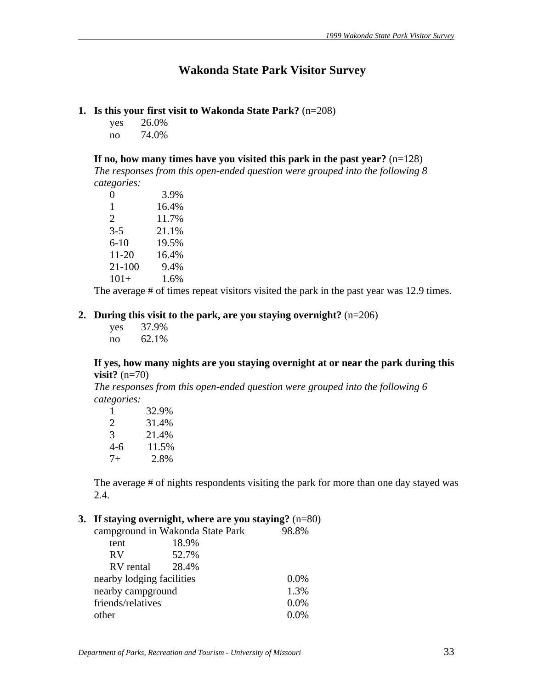# **Wakonda State Park Visitor Survey**

# **1. Is this your first visit to Wakonda State Park?** (n=208)

yes 26.0% no 74.0%

**If no, how many times have you visited this park in the past year?** (n=128)

*The responses from this open-ended question were grouped into the following 8 categories:*

| $\mathbf{0}$ | 3.9%  |
|--------------|-------|
| 1            | 16.4% |
| 2            | 11.7% |
| $3-5$        | 21.1% |
| $6 - 10$     | 19.5% |
| $11 - 20$    | 16.4% |
| 21-100       | 9.4%  |
| $101+$       | 1.6%  |

The average # of times repeat visitors visited the park in the past year was 12.9 times.

### **2. During this visit to the park, are you staying overnight?** (n=206)

 yes 37.9% no 62.1%

### **If yes, how many nights are you staying overnight at or near the park during this visit?** (n=70)

*The responses from this open-ended question were grouped into the following 6 categories:*

| 1    | 32.9% |
|------|-------|
| 2    | 31.4% |
| 3    | 21.4% |
| 4-6  | 11.5% |
| $7+$ | 2.8%  |

The average # of nights respondents visiting the park for more than one day stayed was 2.4.

### **3. If staying overnight, where are you staying?** (n=80)

|                           | campground in Wakonda State Park | 98.8%   |
|---------------------------|----------------------------------|---------|
| tent                      | 18.9%                            |         |
| <b>RV</b>                 | 52.7%                            |         |
| RV rental                 | 28.4%                            |         |
| nearby lodging facilities |                                  | $0.0\%$ |
| nearby campground         |                                  | 1.3%    |
| friends/relatives         |                                  | 0.0%    |
| other                     |                                  | 0 0%    |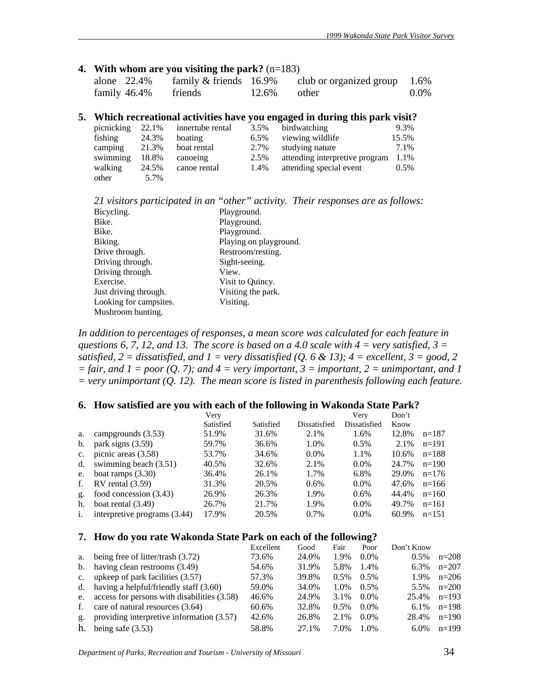#### **4. With whom are you visiting the park?** (n=183)

| alone $22.4\%$  | family $&$ friends 16.9% |                | club or organized group $1.6\%$ |         |
|-----------------|--------------------------|----------------|---------------------------------|---------|
| family $46.4\%$ | friends                  | $12.6\%$ other |                                 | $0.0\%$ |

#### **5. Which recreational activities have you engaged in during this park visit?**

| picnicking | 22.1% | innertube rental | 3.5% | birdwatching                   | 9.3%  |
|------------|-------|------------------|------|--------------------------------|-------|
| fishing    | 24.3% | boating          | 6.5% | viewing wildlife               | 15.5% |
| camping    | 21.3% | boat rental      | 2.7% | studying nature                | 7.1%  |
| swimming   | 18.8% | canoeing         | 2.5% | attending interpretive program | 1.1%  |
| walking    | 24.5% | canoe rental     | 1.4% | attending special event        | 0.5%  |
| other      | 5.7%  |                  |      |                                |       |

*21 visitors participated in an "other" activity. Their responses are as follows:*

| Bicycling.             | Playground.            |  |
|------------------------|------------------------|--|
| Bike.                  | Playground.            |  |
| Bike.                  | Playground.            |  |
| Biking.                | Playing on playground. |  |
| Drive through.         | Restroom/resting.      |  |
| Driving through.       | Sight-seeing.          |  |
| Driving through.       | View.                  |  |
| Exercise.              | Visit to Quincy.       |  |
| Just driving through.  | Visiting the park.     |  |
| Looking for campsites. | Visiting.              |  |
| Mushroom hunting.      |                        |  |

*In addition to percentages of responses, a mean score was calculated for each feature in questions 6, 7, 12, and 13. The score is based on a 4.0 scale with 4 = very satisfied, 3 = satisfied,*  $2 =$  *dissatisfied, and*  $1 =$  *very dissatisfied (Q, 6 & 13);*  $4 =$  *excellent,*  $3 =$  *good,* 2  $=$  fair, and  $I = poor (O, 7)$ ; and  $4 = very important, 3 = important, 2 = unimportant, and 1$ *= very unimportant (Q. 12). The mean score is listed in parenthesis following each feature.* 

#### **6. How satisfied are you with each of the following in Wakonda State Park?**

|                |                              | Very      |           |              | Very         | Don't |         |
|----------------|------------------------------|-----------|-----------|--------------|--------------|-------|---------|
|                |                              | Satisfied | Satisfied | Dissatisfied | Dissatisfied | Know  |         |
| a.             | campgrounds (3.53)           | 51.9%     | 31.6%     | 2.1%         | 1.6%         | 12.8% | $n=187$ |
| b.             | park signs $(3.59)$          | 59.7%     | 36.6%     | 1.0%         | $0.5\%$      | 2.1%  | $n=191$ |
| $\mathbf{c}$ . | picnic areas (3.58)          | 53.7%     | 34.6%     | $0.0\%$      | 1.1%         | 10.6% | $n=188$ |
| d.             | swimming beach (3.51)        | 40.5%     | 32.6%     | 2.1%         | $0.0\%$      | 24.7% | $n=190$ |
| e.             | boat ramps $(3.30)$          | 36.4%     | 26.1%     | 1.7%         | 6.8%         | 29.0% | $n=176$ |
| f.             | $RV$ rental $(3.59)$         | 31.3%     | 20.5%     | 0.6%         | $0.0\%$      | 47.6% | $n=166$ |
| g.             | food concession (3.43)       | 26.9%     | 26.3%     | 1.9%         | $0.6\%$      | 44.4% | $n=160$ |
| h.             | boat rental $(3.49)$         | 26.7%     | 21.7%     | 1.9%         | $0.0\%$      | 49.7% | $n=161$ |
| i.             | interpretive programs (3.44) | 17.9%     | 20.5%     | $0.7\%$      | $0.0\%$      | 60.9% | $n=151$ |

#### **7. How do you rate Wakonda State Park on each of the following?**

|             |                                             | Excellent | Good  | Fair    | Poor    | Don't Know |         |
|-------------|---------------------------------------------|-----------|-------|---------|---------|------------|---------|
| a.          | being free of litter/trash (3.72)           | 73.6%     | 24.0% | 1.9%    | $0.0\%$ | $0.5\%$    | $n=208$ |
|             | b. having clean restrooms (3.49)            | 54.6%     | 31.9% | 5.8%    | 1.4%    | $6.3\%$    | $n=207$ |
|             | c. upkeep of park facilities $(3.57)$       | 57.3%     | 39.8% | $0.5\%$ | $0.5\%$ | 1.9%       | $n=206$ |
|             | d. having a helpful/friendly staff $(3.60)$ | 59.0%     | 34.0% | 1.0%    | 0.5%    | 5.5%       | $n=200$ |
| e.          | access for persons with disabilities (3.58) | 46.6%     | 24.9% | 3.1%    | $0.0\%$ | 25.4%      | $n=193$ |
| f.          | care of natural resources (3.64)            | 60.6%     | 32.8% | $0.5\%$ | $0.0\%$ | $6.1\%$    | $n=198$ |
| $g_{\star}$ | providing interpretive information (3.57)   | 42.6%     | 26.8% | 2.1%    | $0.0\%$ | 28.4%      | $n=190$ |
| h.          | being safe $(3.53)$                         | 58.8%     | 27.1% | 7.0%    | $1.0\%$ | $6.0\%$    | $n=199$ |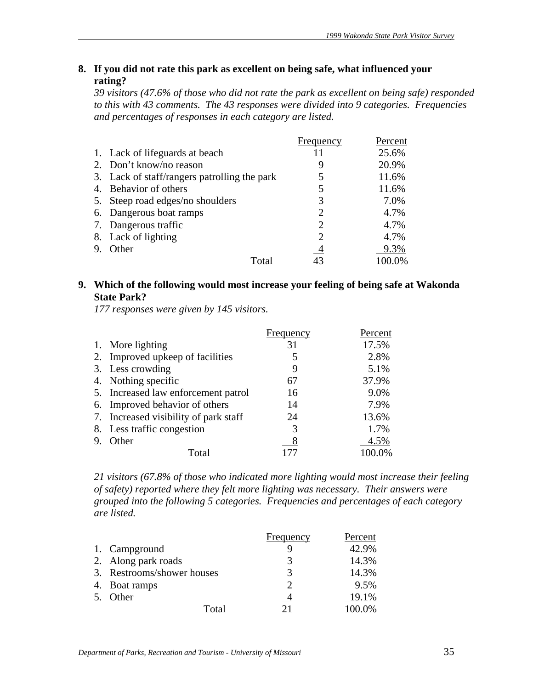# **8. If you did not rate this park as excellent on being safe, what influenced your rating?**

*39 visitors (47.6% of those who did not rate the park as excellent on being safe) responded to this with 43 comments. The 43 responses were divided into 9 categories. Frequencies and percentages of responses in each category are listed.* 

|    |                                              | Frequency              | Percent |
|----|----------------------------------------------|------------------------|---------|
|    | 1. Lack of lifeguards at beach               |                        | 25.6%   |
|    | 2. Don't know/no reason                      |                        | 20.9%   |
|    | 3. Lack of staff/rangers patrolling the park | 5                      | 11.6%   |
| 4. | Behavior of others                           | 5                      | 11.6%   |
| 5. | Steep road edges/no shoulders                | 3                      | 7.0%    |
|    | 6. Dangerous boat ramps                      | 2                      | 4.7%    |
|    | 7. Dangerous traffic                         | $\mathfrak{D}_{\cdot}$ | 4.7%    |
|    | 8. Lack of lighting                          | 2                      | 4.7%    |
|    | Other                                        | 4                      | 9.3%    |
|    | Total                                        |                        | 00.0%   |

# **9. Which of the following would most increase your feeling of being safe at Wakonda State Park?**

*177 responses were given by 145 visitors.*

|                                       | Frequency | Percent |
|---------------------------------------|-----------|---------|
| 1. More lighting                      | 31        | 17.5%   |
| 2. Improved upkeep of facilities      | 5         | 2.8%    |
| 3. Less crowding                      | 9         | 5.1%    |
| 4. Nothing specific                   | 67        | 37.9%   |
| 5. Increased law enforcement patrol   | 16        | 9.0%    |
| 6. Improved behavior of others        | 14        | 7.9%    |
| 7. Increased visibility of park staff | 24        | 13.6%   |
| 8. Less traffic congestion            | 3         | 1.7%    |
| Other                                 | 8         | 4.5%    |
| Total                                 |           |         |

*21 visitors (67.8% of those who indicated more lighting would most increase their feeling of safety) reported where they felt more lighting was necessary. Their answers were grouped into the following 5 categories. Frequencies and percentages of each category are listed.*

|                            | Frequency | Percent |
|----------------------------|-----------|---------|
| 1. Campground              |           | 42.9%   |
| 2. Along park roads        |           | 14.3%   |
| 3. Restrooms/shower houses | 3         | 14.3%   |
| 4. Boat ramps              |           | 9.5%    |
| 5. Other                   |           | 19.1%   |
| Total                      | 21        | 100.0%  |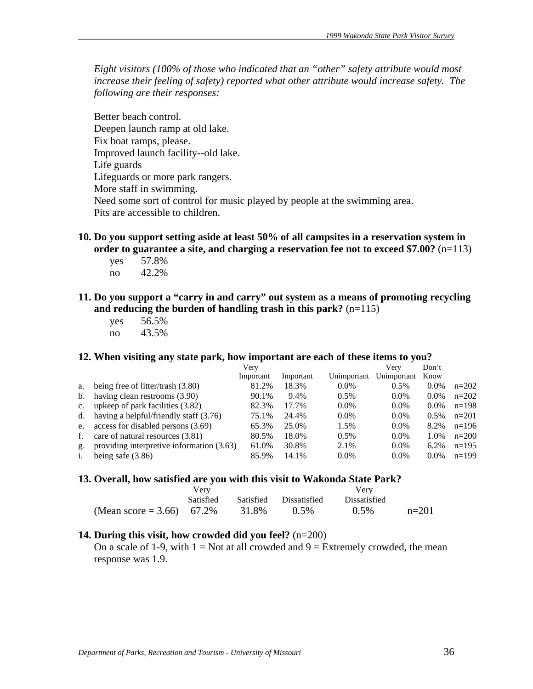*Eight visitors (100% of those who indicated that an "other" safety attribute would most increase their feeling of safety) reported what other attribute would increase safety. The following are their responses:*

Better beach control. Deepen launch ramp at old lake. Fix boat ramps, please. Improved launch facility--old lake. Life guards Lifeguards or more park rangers. More staff in swimming. Need some sort of control for music played by people at the swimming area. Pits are accessible to children.

- **10. Do you support setting aside at least 50% of all campsites in a reservation system in order to guarantee a site, and charging a reservation fee not to exceed \$7.00?** (n=113)
	- yes 57.8% no 42.2%
- **11. Do you support a "carry in and carry" out system as a means of promoting recycling and reducing the burden of handling trash in this park?** (n=115)
	- yes 56.5% no 43.5%

#### **12. When visiting any state park, how important are each of these items to you?**

|                |                                           | Very      |           |             | Verv        | Don't   |         |
|----------------|-------------------------------------------|-----------|-----------|-------------|-------------|---------|---------|
|                |                                           | Important | Important | Unimportant | Unimportant | Know    |         |
| a.             | being free of litter/trash (3.80)         | 81.2%     | 18.3%     | $0.0\%$     | 0.5%        | $0.0\%$ | $n=202$ |
| b.             | having clean restrooms (3.90)             | 90.1%     | 9.4%      | $0.5\%$     | $0.0\%$     | $0.0\%$ | $n=202$ |
| $c_{\cdot}$    | upkeep of park facilities (3.82)          | 82.3%     | 17.7%     | $0.0\%$     | $0.0\%$     | $0.0\%$ | $n=198$ |
| d.             | having a helpful/friendly staff (3.76)    | 75.1%     | 24.4%     | $0.0\%$     | $0.0\%$     | 0.5%    | $n=201$ |
| e.             | access for disabled persons (3.69)        | 65.3%     | 25.0%     | 1.5%        | $0.0\%$     | 8.2%    | $n=196$ |
| f.             | care of natural resources (3.81)          | 80.5%     | 18.0%     | 0.5%        | $0.0\%$     | 1.0%    | $n=200$ |
| g.             | providing interpretive information (3.63) | 61.0%     | 30.8%     | 2.1%        | $0.0\%$     | $6.2\%$ | $n=195$ |
| $\mathbf{1}$ . | being safe $(3.86)$                       | 85.9%     | 14.1%     | $0.0\%$     | $0.0\%$     | $0.0\%$ | $n=199$ |

#### **13. Overall, how satisfied are you with this visit to Wakonda State Park?**

|                           | Verv             |       | Verv                   |                     |         |
|---------------------------|------------------|-------|------------------------|---------------------|---------|
|                           | <b>Satisfied</b> |       | Satisfied Dissatisfied | <b>Dissatisfied</b> |         |
| (Mean score = 3.66) 67.2% |                  | 31.8% | $0.5\%$                | $0.5\%$             | $n=201$ |

# **14. During this visit, how crowded did you feel?** (n=200)

On a scale of 1-9, with  $1 = Not$  at all crowded and  $9 = Extremely$  crowded, the mean response was 1.9.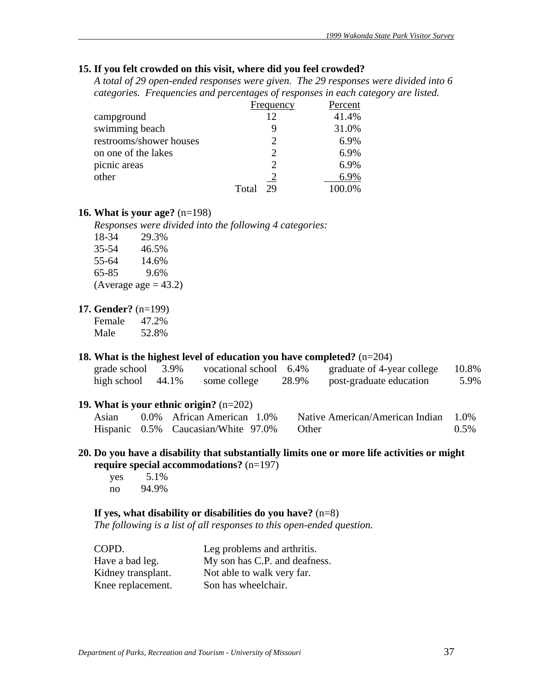# **15. If you felt crowded on this visit, where did you feel crowded?**

*A total of 29 open-ended responses were given. The 29 responses were divided into 6 categories. Frequencies and percentages of responses in each category are listed.* 

|                         | Frequency   | Percent |
|-------------------------|-------------|---------|
| campground              | 12          | 41.4%   |
| swimming beach          |             | 31.0%   |
| restrooms/shower houses | 2           | 6.9%    |
| on one of the lakes     | 2           | 6.9%    |
| picnic areas            |             | 6.9%    |
| other                   |             | 6.9%    |
|                         | Total<br>29 | 100.0%  |

#### **16. What is your age?** (n=198)

*Responses were divided into the following 4 categories:*

| 29.3%                   |
|-------------------------|
| 46.5%                   |
| 14.6%                   |
| 9.6%                    |
| (Average age $= 43.2$ ) |
|                         |

### **17. Gender?** (n=199)

Female 47.2% Male 52.8%

### **18. What is the highest level of education you have completed?** (n=204)

| grade school | 3.9%  | vocational school 6.4% |       | graduate of 4-year college | 10.8% |
|--------------|-------|------------------------|-------|----------------------------|-------|
| high school  | 44.1% | some college           | 28.9% | post-graduate education    | 5.9%  |

### **19. What is your ethnic origin?** (n=202)

| Asian | 0.0% African American 1.0%                | Native American/American Indian 1.0% |      |
|-------|-------------------------------------------|--------------------------------------|------|
|       | Hispanic 0.5% Caucasian/White 97.0% Other |                                      | 0.5% |

### **20. Do you have a disability that substantially limits one or more life activities or might require special accommodations?** (n=197)

 yes 5.1% no 94.9%

### **If yes, what disability or disabilities do you have?** (n=8)

*The following is a list of all responses to this open-ended question.* 

| COPD.              | Leg problems and arthritis.   |
|--------------------|-------------------------------|
| Have a bad leg.    | My son has C.P. and deafness. |
| Kidney transplant. | Not able to walk very far.    |
| Knee replacement.  | Son has wheelchair.           |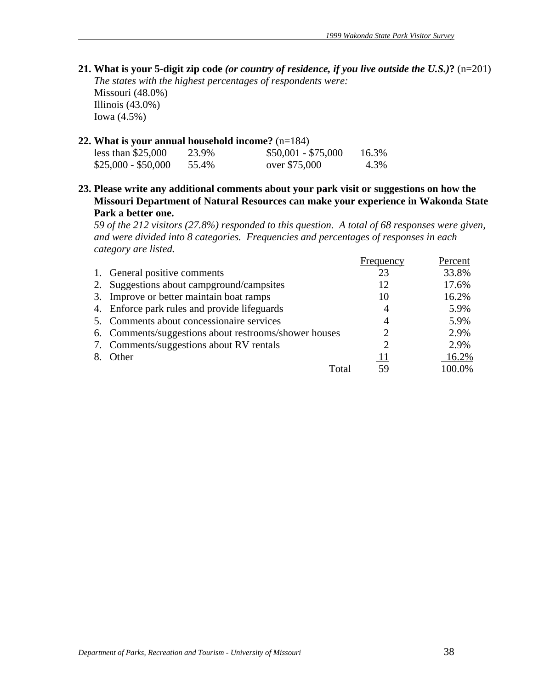**21. What is your 5-digit zip code** *(or country of residence, if you live outside the U.S.)***?** (n=201) *The states with the highest percentages of respondents were:*  Missouri (48.0%) Illinois (43.0%) Iowa (4.5%)

#### **22. What is your annual household income?** (n=184)

| less than $$25,000$ | 23.9% | $$50,001 - $75,000$ | 16.3% |
|---------------------|-------|---------------------|-------|
| $$25,000 - $50,000$ | 55.4% | over \$75,000       | 4.3%  |

**23. Please write any additional comments about your park visit or suggestions on how the Missouri Department of Natural Resources can make your experience in Wakonda State Park a better one.** 

*59 of the 212 visitors (27.8%) responded to this question. A total of 68 responses were given, and were divided into 8 categories. Frequencies and percentages of responses in each category are listed.*

|                                                       | Frequency | Percent |
|-------------------------------------------------------|-----------|---------|
| 1. General positive comments                          | 23        | 33.8%   |
| 2. Suggestions about campground/campsites             | 12        | 17.6%   |
| 3. Improve or better maintain boat ramps              | 10        | 16.2%   |
| 4. Enforce park rules and provide lifeguards          | 4         | 5.9%    |
| 5. Comments about concessionaire services             | 4         | 5.9%    |
| 6. Comments/suggestions about restrooms/shower houses | റ         | 2.9%    |
| 7. Comments/suggestions about RV rentals              |           | 2.9%    |
| 8. Other                                              | 11        | 16.2%   |
| Total                                                 |           | 100.0%  |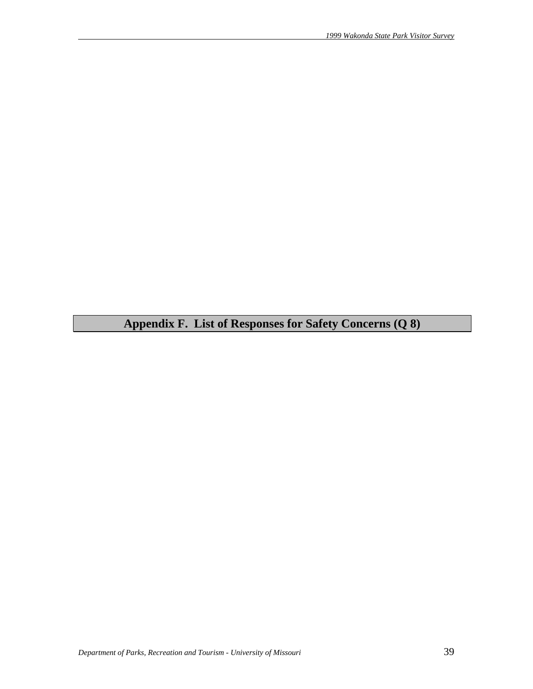**Appendix F. List of Responses for Safety Concerns (Q 8)**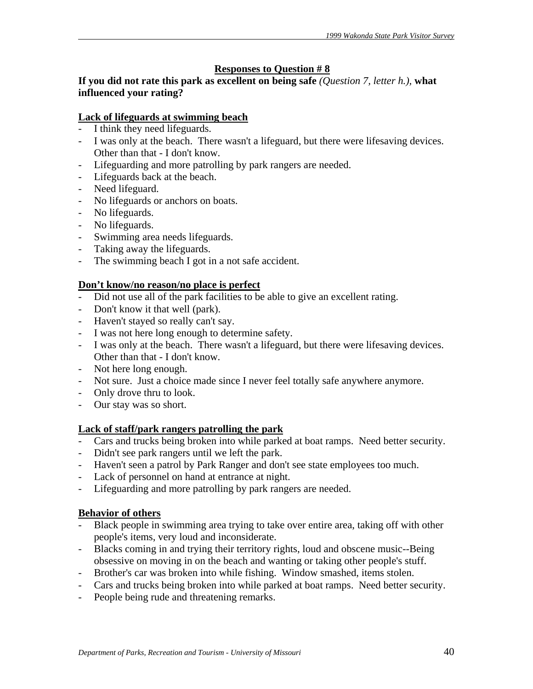# **Responses to Question # 8**

**If you did not rate this park as excellent on being safe** *(Question 7, letter h.),* **what influenced your rating?** 

# **Lack of lifeguards at swimming beach**

- I think they need lifeguards.
- I was only at the beach. There wasn't a lifeguard, but there were lifesaving devices. Other than that - I don't know.
- Lifeguarding and more patrolling by park rangers are needed.
- Lifeguards back at the beach.
- Need lifeguard.
- No lifeguards or anchors on boats.
- No lifeguards.
- No lifeguards.
- Swimming area needs lifeguards.
- Taking away the lifeguards.
- The swimming beach I got in a not safe accident.

# **Don't know/no reason/no place is perfect**

- Did not use all of the park facilities to be able to give an excellent rating.
- Don't know it that well (park).
- Haven't stayed so really can't say.
- I was not here long enough to determine safety.
- I was only at the beach. There wasn't a lifeguard, but there were lifesaving devices. Other than that - I don't know.
- Not here long enough.
- Not sure. Just a choice made since I never feel totally safe anywhere anymore.
- Only drove thru to look.
- Our stay was so short.

### **Lack of staff/park rangers patrolling the park**

- Cars and trucks being broken into while parked at boat ramps. Need better security.
- Didn't see park rangers until we left the park.
- Haven't seen a patrol by Park Ranger and don't see state employees too much.
- Lack of personnel on hand at entrance at night.
- Lifeguarding and more patrolling by park rangers are needed.

# **Behavior of others**

- Black people in swimming area trying to take over entire area, taking off with other people's items, very loud and inconsiderate.
- Blacks coming in and trying their territory rights, loud and obscene music--Being obsessive on moving in on the beach and wanting or taking other people's stuff.
- Brother's car was broken into while fishing. Window smashed, items stolen.
- Cars and trucks being broken into while parked at boat ramps. Need better security.
- People being rude and threatening remarks.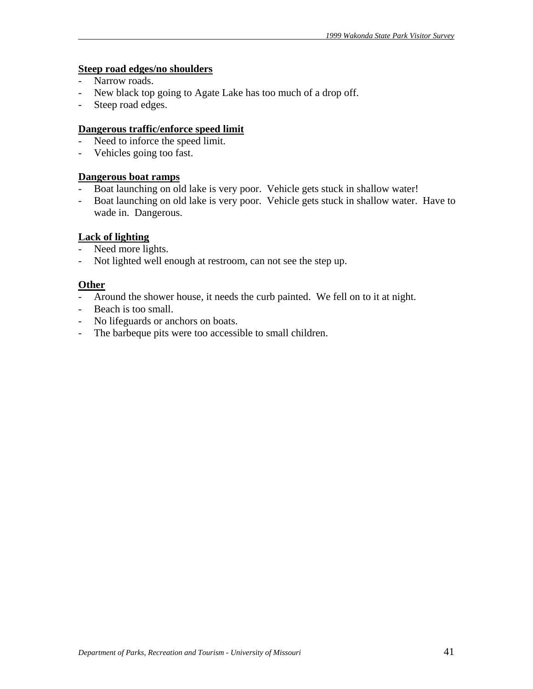# **Steep road edges/no shoulders**

- Narrow roads.
- New black top going to Agate Lake has too much of a drop off.
- Steep road edges.

### **Dangerous traffic/enforce speed limit**

- Need to inforce the speed limit.
- Vehicles going too fast.

#### **Dangerous boat ramps**

- Boat launching on old lake is very poor. Vehicle gets stuck in shallow water!
- Boat launching on old lake is very poor. Vehicle gets stuck in shallow water. Have to wade in. Dangerous.

#### **Lack of lighting**

- Need more lights.
- Not lighted well enough at restroom, can not see the step up.

# **Other**

- Around the shower house, it needs the curb painted. We fell on to it at night.
- Beach is too small.
- No lifeguards or anchors on boats.
- The barbeque pits were too accessible to small children.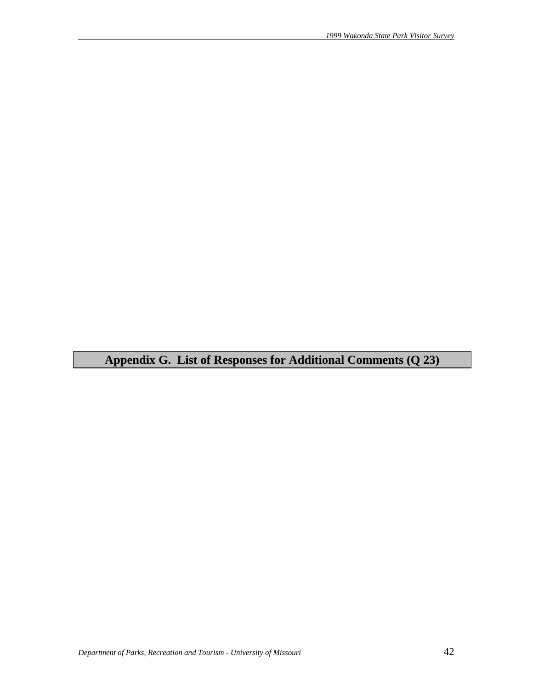**Appendix G. List of Responses for Additional Comments (Q 23)**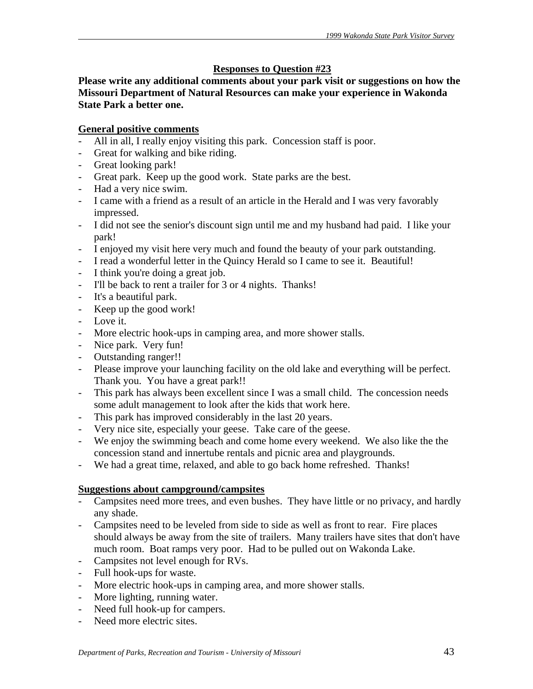# **Responses to Question #23**

**Please write any additional comments about your park visit or suggestions on how the Missouri Department of Natural Resources can make your experience in Wakonda State Park a better one.** 

# **General positive comments**

- All in all, I really enjoy visiting this park. Concession staff is poor.
- Great for walking and bike riding.
- Great looking park!
- Great park. Keep up the good work. State parks are the best.
- Had a very nice swim.
- I came with a friend as a result of an article in the Herald and I was very favorably impressed.
- I did not see the senior's discount sign until me and my husband had paid. I like your park!
- I enjoyed my visit here very much and found the beauty of your park outstanding.
- I read a wonderful letter in the Quincy Herald so I came to see it. Beautiful!
- I think you're doing a great job.
- I'll be back to rent a trailer for 3 or 4 nights. Thanks!
- It's a beautiful park.
- Keep up the good work!
- Love it.
- More electric hook-ups in camping area, and more shower stalls.
- Nice park. Very fun!
- Outstanding ranger!!
- Please improve your launching facility on the old lake and everything will be perfect. Thank you. You have a great park!!
- This park has always been excellent since I was a small child. The concession needs some adult management to look after the kids that work here.
- This park has improved considerably in the last 20 years.
- Very nice site, especially your geese. Take care of the geese.
- We enjoy the swimming beach and come home every weekend. We also like the the concession stand and innertube rentals and picnic area and playgrounds.
- We had a great time, relaxed, and able to go back home refreshed. Thanks!

### **Suggestions about campground/campsites**

- Campsites need more trees, and even bushes. They have little or no privacy, and hardly any shade.
- Campsites need to be leveled from side to side as well as front to rear. Fire places should always be away from the site of trailers. Many trailers have sites that don't have much room. Boat ramps very poor. Had to be pulled out on Wakonda Lake.
- Campsites not level enough for RVs.
- Full hook-ups for waste.
- More electric hook-ups in camping area, and more shower stalls.
- More lighting, running water.
- Need full hook-up for campers.
- Need more electric sites.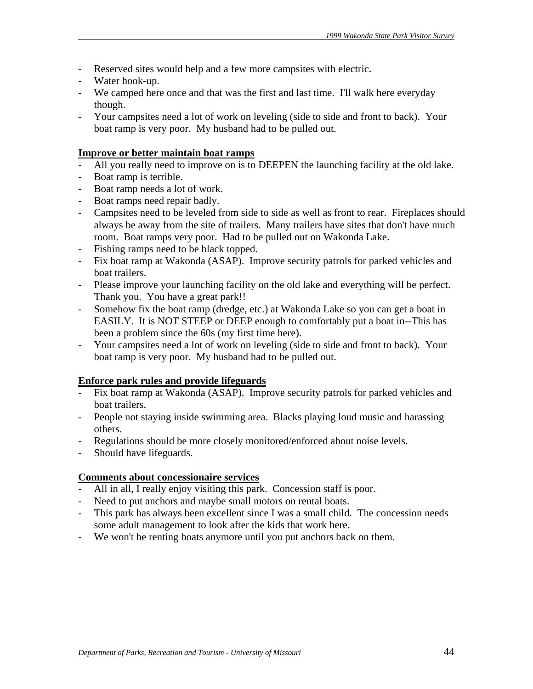- Reserved sites would help and a few more campsites with electric.
- Water hook-up.
- We camped here once and that was the first and last time. I'll walk here everyday though.
- Your campsites need a lot of work on leveling (side to side and front to back). Your boat ramp is very poor. My husband had to be pulled out.

### **Improve or better maintain boat ramps**

- All you really need to improve on is to DEEPEN the launching facility at the old lake.
- Boat ramp is terrible.
- Boat ramp needs a lot of work.
- Boat ramps need repair badly.
- Campsites need to be leveled from side to side as well as front to rear. Fireplaces should always be away from the site of trailers. Many trailers have sites that don't have much room. Boat ramps very poor. Had to be pulled out on Wakonda Lake.
- Fishing ramps need to be black topped.
- Fix boat ramp at Wakonda (ASAP). Improve security patrols for parked vehicles and boat trailers.
- Please improve your launching facility on the old lake and everything will be perfect. Thank you. You have a great park!!
- Somehow fix the boat ramp (dredge, etc.) at Wakonda Lake so you can get a boat in EASILY. It is NOT STEEP or DEEP enough to comfortably put a boat in--This has been a problem since the 60s (my first time here).
- Your campsites need a lot of work on leveling (side to side and front to back). Your boat ramp is very poor. My husband had to be pulled out.

### **Enforce park rules and provide lifeguards**

- Fix boat ramp at Wakonda (ASAP). Improve security patrols for parked vehicles and boat trailers.
- People not staying inside swimming area. Blacks playing loud music and harassing others.
- Regulations should be more closely monitored/enforced about noise levels.
- Should have lifeguards.

### **Comments about concessionaire services**

- All in all, I really enjoy visiting this park. Concession staff is poor.
- Need to put anchors and maybe small motors on rental boats.
- This park has always been excellent since I was a small child. The concession needs some adult management to look after the kids that work here.
- We won't be renting boats anymore until you put anchors back on them.